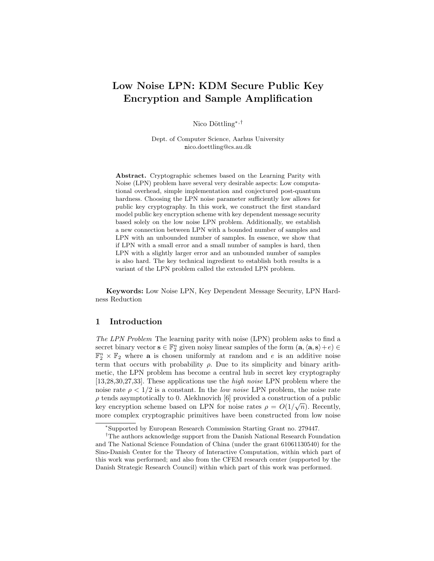# Low Noise LPN: KDM Secure Public Key Encryption and Sample Amplification

Nico Döttling<sup>∗,†</sup>

Dept. of Computer Science, Aarhus University nico.doettling@cs.au.dk

Abstract. Cryptographic schemes based on the Learning Parity with Noise (LPN) problem have several very desirable aspects: Low computational overhead, simple implementation and conjectured post-quantum hardness. Choosing the LPN noise parameter sufficiently low allows for public key cryptography. In this work, we construct the first standard model public key encryption scheme with key dependent message security based solely on the low noise LPN problem. Additionally, we establish a new connection between LPN with a bounded number of samples and LPN with an unbounded number of samples. In essence, we show that if LPN with a small error and a small number of samples is hard, then LPN with a slightly larger error and an unbounded number of samples is also hard. The key technical ingredient to establish both results is a variant of the LPN problem called the extended LPN problem.

Keywords: Low Noise LPN, Key Dependent Message Security, LPN Hardness Reduction

# 1 Introduction

The LPN Problem The learning parity with noise (LPN) problem asks to find a secret binary vector  $\mathbf{s} \in \mathbb{F}_2^n$  given noisy linear samples of the form  $(\mathbf{a},\langle \mathbf{a},\mathbf{s}\rangle + e) \in$  $\mathbb{F}_2^n \times \mathbb{F}_2$  where **a** is chosen uniformly at random and *e* is an additive noise term that occurs with probability  $\rho$ . Due to its simplicity and binary arithmetic, the LPN problem has become a central hub in secret key cryptography [13,28,30,27,33]. These applications use the high noise LPN problem where the noise rate  $\rho < 1/2$  is a constant. In the *low noise* LPN problem, the noise rate  $\rho$  tends asymptotically to 0. Alekhnovich [6] provided a construction of a public key encryption scheme based on LPN for noise rates  $\rho = O(1/\sqrt{n})$ . Recently, more complex cryptographic primitives have been constructed from low noise

<sup>∗</sup>Supported by European Research Commission Starting Grant no. 279447.

<sup>†</sup>The authors acknowledge support from the Danish National Research Foundation and The National Science Foundation of China (under the grant 61061130540) for the Sino-Danish Center for the Theory of Interactive Computation, within which part of this work was performed; and also from the CFEM research center (supported by the Danish Strategic Research Council) within which part of this work was performed.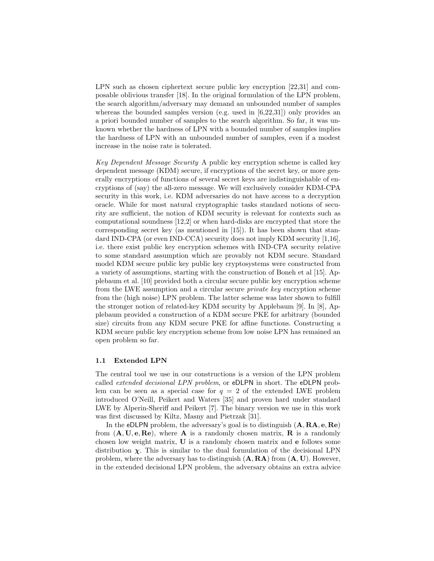LPN such as chosen ciphertext secure public key encryption [22,31] and composable oblivious transfer [18]. In the original formulation of the LPN problem, the search algorithm/adversary may demand an unbounded number of samples whereas the bounded samples version (e.g. used in  $[6,22,31]$ ) only provides an a priori bounded number of samples to the search algorithm. So far, it was unknown whether the hardness of LPN with a bounded number of samples implies the hardness of LPN with an unbounded number of samples, even if a modest increase in the noise rate is tolerated.

Key Dependent Message Security A public key encryption scheme is called key dependent message (KDM) secure, if encryptions of the secret key, or more generally encryptions of functions of several secret keys are indistinguishable of encryptions of (say) the all-zero message. We will exclusively consider KDM-CPA security in this work, i.e. KDM adversaries do not have access to a decryption oracle. While for most natural cryptographic tasks standard notions of security are sufficient, the notion of KDM security is relevant for contexts such as computational soundness [12,2] or when hard-disks are encrypted that store the corresponding secret key (as mentioned in [15]). It has been shown that standard IND-CPA (or even IND-CCA) security does not imply KDM security [1,16], i.e. there exist public key encryption schemes with IND-CPA security relative to some standard assumption which are provably not KDM secure. Standard model KDM secure public key public key cryptosystems were constructed from a variety of assumptions, starting with the construction of Boneh et al [15]. Applebaum et al. [10] provided both a circular secure public key encryption scheme from the LWE assumption and a circular secure private key encryption scheme from the (high noise) LPN problem. The latter scheme was later shown to fulfill the stronger notion of related-key KDM security by Applebaum [9]. In [8], Applebaum provided a construction of a KDM secure PKE for arbitrary (bounded size) circuits from any KDM secure PKE for affine functions. Constructing a KDM secure public key encryption scheme from low noise LPN has remained an open problem so far.

### 1.1 Extended LPN

The central tool we use in our constructions is a version of the LPN problem called *extended decisional LPN problem*, or eDLPN in short. The eDLPN problem can be seen as a special case for  $q = 2$  of the extended LWE problem introduced O'Neill, Peikert and Waters [35] and proven hard under standard LWE by Alperin-Sheriff and Peikert [7]. The binary version we use in this work was first discussed by Kiltz, Masny and Pietrzak [31].

In the eDLPN problem, the adversary's goal is to distinguish  $(A, RA, e, Re)$ from  $(A, U, e, Re)$ , where A is a randomly chosen matrix, R is a randomly chosen low weight matrix, U is a randomly chosen matrix and e follows some distribution  $\chi$ . This is similar to the dual formulation of the decisional LPN problem, where the adversary has to distinguish  $(A, RA)$  from  $(A, U)$ . However, in the extended decisional LPN problem, the adversary obtains an extra advice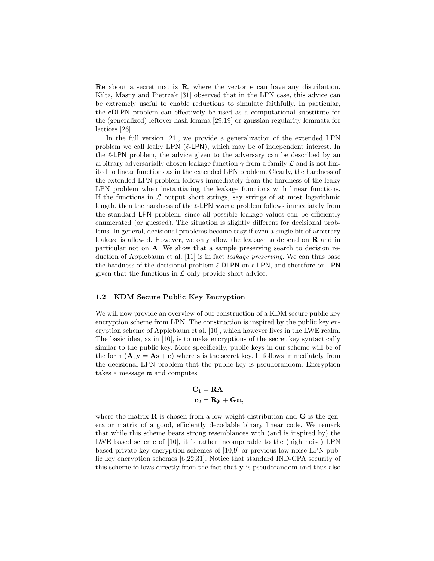Re about a secret matrix R, where the vector e can have any distribution. Kiltz, Masny and Pietrzak [31] observed that in the LPN case, this advice can be extremely useful to enable reductions to simulate faithfully. In particular, the eDLPN problem can effectively be used as a computational substitute for the (generalized) leftover hash lemma [29,19] or gaussian regularity lemmata for lattices [26].

In the full version [21], we provide a generalization of the extended LPN problem we call leaky LPN  $(\ell$ -LPN), which may be of independent interest. In the  $\ell$ -LPN problem, the advice given to the adversary can be described by an arbitrary adversarially chosen leakage function  $\gamma$  from a family  $\mathcal L$  and is not limited to linear functions as in the extended LPN problem. Clearly, the hardness of the extended LPN problem follows immediately from the hardness of the leaky LPN problem when instantiating the leakage functions with linear functions. If the functions in  $\mathcal L$  output short strings, say strings of at most logarithmic length, then the hardness of the  $\ell$ -LPN search problem follows immediately from the standard LPN problem, since all possible leakage values can be efficiently enumerated (or guessed). The situation is slightly different for decisional problems. In general, decisional problems become easy if even a single bit of arbitrary leakage is allowed. However, we only allow the leakage to depend on  **and in** particular not on A. We show that a sample preserving search to decision reduction of Applebaum et al. [11] is in fact leakage preserving. We can thus base the hardness of the decisional problem  $\ell$ -DLPN on  $\ell$ -LPN, and therefore on LPN given that the functions in  $\mathcal L$  only provide short advice.

### 1.2 KDM Secure Public Key Encryption

We will now provide an overview of our construction of a KDM secure public key encryption scheme from LPN. The construction is inspired by the public key encryption scheme of Applebaum et al. [10], which however lives in the LWE realm. The basic idea, as in [10], is to make encryptions of the secret key syntactically similar to the public key. More specifically, public keys in our scheme will be of the form  $(A, y = As + e)$  where s is the secret key. It follows immediately from the decisional LPN problem that the public key is pseudorandom. Encryption takes a message m and computes

$$
\begin{aligned} \mathbf{C}_1 &= \mathbf{R}\mathbf{A} \\ \mathbf{c}_2 &= \mathbf{R}\mathbf{y} + \mathbf{G}\mathfrak{m}, \end{aligned}
$$

where the matrix  $\bf{R}$  is chosen from a low weight distribution and  $\bf{G}$  is the generator matrix of a good, efficiently decodable binary linear code. We remark that while this scheme bears strong resemblances with (and is inspired by) the LWE based scheme of [10], it is rather incomparable to the (high noise) LPN based private key encryption schemes of [10,9] or previous low-noise LPN public key encryption schemes [6,22,31]. Notice that standard IND-CPA security of this scheme follows directly from the fact that y is pseudorandom and thus also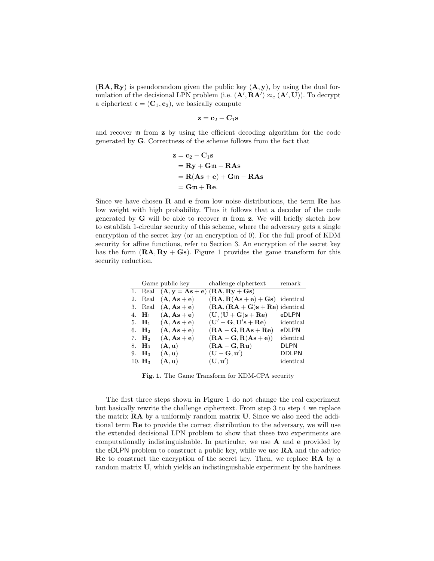$(RA, Ry)$  is pseudorandom given the public key  $(A, y)$ , by using the dual formulation of the decisional LPN problem (i.e.  $(\mathbf{A}', \mathbf{R}\mathbf{A}') \approx_c (\mathbf{A}', \mathbf{U})$ ). To decrypt a ciphertext  $\mathfrak{c} = (\mathbf{C}_1, \mathbf{c}_2)$ , we basically compute

$$
\mathbf{z} = \mathbf{c}_2 - \mathbf{C}_1 \mathbf{s}
$$

and recover  $\mathfrak m$  from  $\mathfrak z$  by using the efficient decoding algorithm for the code generated by G. Correctness of the scheme follows from the fact that

$$
z = c2 - C1s
$$
  
= Ry + Gm - RAs  
= R(As + e) + Gm - RAs  
= Gm + Re.

Since we have chosen  **and**  $**e**$  **from low noise distributions, the term**  $**Re**$  **has** low weight with high probability. Thus it follows that a decoder of the code generated by G will be able to recover m from z. We will briefly sketch how to establish 1-circular security of this scheme, where the adversary gets a single encryption of the secret key (or an encryption of 0). For the full proof of KDM security for affine functions, refer to Section 3. An encryption of the secret key has the form  $(RA, Ry + Cs)$ . Figure 1 provides the game transform for this security reduction.

|                 | Game public key                                                                                                                            | challenge ciphertext                                                          | remark       |
|-----------------|--------------------------------------------------------------------------------------------------------------------------------------------|-------------------------------------------------------------------------------|--------------|
|                 | 1. Real $(\mathbf{A}, \mathbf{y} = \mathbf{A}\mathbf{s} + \mathbf{e}) (\mathbf{R}\mathbf{A}, \mathbf{R}\mathbf{y} + \mathbf{G}\mathbf{s})$ |                                                                               |              |
| 2. Real         | $(A, As + e)$                                                                                                                              | $(\mathbf{RA}, \mathbf{R}(\mathbf{As} + \mathbf{e}) + \mathbf{Gs})$ identical |              |
|                 | 3. Real $(\mathbf{A}, \mathbf{As} + \mathbf{e})$                                                                                           | $(\mathbf{RA}, (\mathbf{RA} + \mathbf{G})\mathbf{s} + \mathbf{Re})$ identical |              |
| 4. $H_1$        | $(A, As + e)$                                                                                                                              | $(\mathbf{U},(\mathbf{U}+\mathbf{G})\mathbf{s}+\mathbf{Re})$                  | eDLPN        |
|                 | 5. $H_1$ (A, As + e)                                                                                                                       | $(\mathbf{U}' - \mathbf{G}, \mathbf{U}'\mathbf{s} + \mathbf{Re})$ identical   |              |
| 6. $H_2$        | $(A, As + e)$                                                                                                                              | $(\mathbf{RA}-\mathbf{G}, \mathbf{RAs}+\mathbf{Re})$                          | eDLPN        |
| 7. $H_2$        | $(A, As + e)$                                                                                                                              | $(RA - G, R(As + e))$                                                         | identical    |
| $8. \text{H}_3$ | $(\mathbf{A}, \mathbf{u})$                                                                                                                 | $(RA - G, Ru)$                                                                | <b>DLPN</b>  |
| 9. $H_3$        | $(\mathbf{A}, \mathbf{u})$                                                                                                                 | $(\mathbf{U}-\mathbf{G},\mathbf{u}')$                                         | <b>DDLPN</b> |
| 10. $H_3$       | $(\mathbf{A}, \mathbf{u})$                                                                                                                 | $(\mathbf{U},\mathbf{u}')$                                                    | identical    |

Fig. 1. The Game Transform for KDM-CPA security

The first three steps shown in Figure 1 do not change the real experiment but basically rewrite the challenge ciphertext. From step 3 to step 4 we replace the matrix RA by a uniformly random matrix U. Since we also need the additional term Re to provide the correct distribution to the adversary, we will use the extended decisional LPN problem to show that these two experiments are computationally indistinguishable. In particular, we use  $A$  and  $e$  provided by the eDLPN problem to construct a public key, while we use RA and the advice Re to construct the encryption of the secret key. Then, we replace RA by a random matrix U, which yields an indistinguishable experiment by the hardness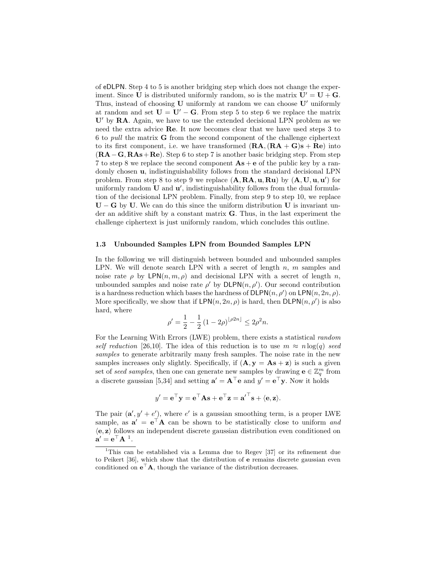of eDLPN. Step 4 to 5 is another bridging step which does not change the experiment. Since U is distributed uniformly random, so is the matrix  $U' = U + G$ . Thus, instead of choosing  $U$  uniformly at random we can choose  $U'$  uniformly at random and set  $U = U' - G$ . From step 5 to step 6 we replace the matrix  $U'$  by  $RA$ . Again, we have to use the extended decisional LPN problem as we need the extra advice Re. It now becomes clear that we have used steps 3 to 6 to pull the matrix G from the second component of the challenge ciphertext to its first component, i.e. we have transformed  $(\mathbf{RA}, (\mathbf{RA} + \mathbf{G})\mathbf{s} + \mathbf{Re})$  into  $(RA-G, RAs+Re)$ . Step 6 to step 7 is another basic bridging step. From step 7 to step 8 we replace the second component  $\mathbf{As} + \mathbf{e}$  of the public key by a randomly chosen **u**, indistinguishability follows from the standard decisional LPN problem. From step 8 to step 9 we replace  $(A, RA, u, Ru)$  by  $(A, U, u, u')$  for uniformly random  $U$  and  $u'$ , indistinguishability follows from the dual formulation of the decisional LPN problem. Finally, from step 9 to step 10, we replace  $U - G$  by U. We can do this since the uniform distribution U is invariant under an additive shift by a constant matrix **. Thus, in the last experiment the** challenge ciphertext is just uniformly random, which concludes this outline.

### 1.3 Unbounded Samples LPN from Bounded Samples LPN

In the following we will distinguish between bounded and unbounded samples LPN. We will denote search LPN with a secret of length  $n$ ,  $m$  samples and noise rate  $\rho$  by LPN $(n, m, \rho)$  and decisional LPN with a secret of length n, unbounded samples and noise rate  $\rho'$  by DLPN $(n, \rho')$ . Our second contribution is a hardness reduction which bases the hardness of  $\text{DLPN}(n, \rho')$  on  $\text{LPN}(n, 2n, \rho)$ . More specifically, we show that if  $\text{LPN}(n, 2n, \rho)$  is hard, then  $\text{DLPN}(n, \rho')$  is also hard, where

$$
\rho' = \frac{1}{2} - \frac{1}{2} (1 - 2\rho)^{\lfloor \rho 2n \rfloor} \le 2\rho^2 n.
$$

For the Learning With Errors (LWE) problem, there exists a statistical random self reduction [26,10]. The idea of this reduction is to use  $m \approx n \log(q)$  seed samples to generate arbitrarily many fresh samples. The noise rate in the new samples increases only slightly. Specifically, if  $(A, y = As + z)$  is such a given set of seed samples, then one can generate new samples by drawing  $\mathbf{e} \in \mathbb{Z}_q^m$  from a discrete gaussian [5,34] and setting  $\mathbf{a}' = \mathbf{A}^\top \mathbf{e}$  and  $y' = \mathbf{e}^\top \mathbf{y}$ . Now it holds

$$
y' = \mathbf{e}^{\top} \mathbf{y} = \mathbf{e}^{\top} \mathbf{A} \mathbf{s} + \mathbf{e}^{\top} \mathbf{z} = \mathbf{a}'^{\top} \mathbf{s} + \langle \mathbf{e}, \mathbf{z} \rangle.
$$

The pair  $(\mathbf{a}', y' + e')$ , where e' is a gaussian smoothing term, is a proper LWE sample, as  $\mathbf{a}' = \mathbf{e}^{\top} \mathbf{A}$  can be shown to be statistically close to uniform and  $\langle e, z \rangle$  follows an independent discrete gaussian distribution even conditioned on  $\mathbf{a}' = \mathbf{e}^\top \mathbf{A}^{-1}.$ 

<sup>&</sup>lt;sup>1</sup>This can be established via a Lemma due to Regev [37] or its refinement due to Peikert [36], which show that the distribution of e remains discrete gaussian even conditioned on  $e^{\top}A$ , though the variance of the distribution decreases.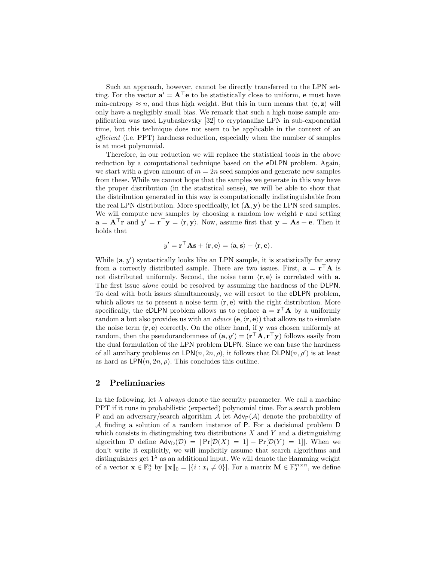Such an approach, however, cannot be directly transferred to the LPN setting. For the vector  $\mathbf{a}' = \mathbf{A}^\top \mathbf{e}$  to be statistically close to uniform, e must have min-entropy  $\approx n$ , and thus high weight. But this in turn means that  $\langle e, z \rangle$  will only have a negligibly small bias. We remark that such a high noise sample amplification was used Lyubashevsky [32] to cryptanalize LPN in sub-exponential time, but this technique does not seem to be applicable in the context of an efficient (i.e. PPT) hardness reduction, especially when the number of samples is at most polynomial.

Therefore, in our reduction we will replace the statistical tools in the above reduction by a computational technique based on the eDLPN problem. Again, we start with a given amount of  $m = 2n$  seed samples and generate new samples from these. While we cannot hope that the samples we generate in this way have the proper distribution (in the statistical sense), we will be able to show that the distribution generated in this way is computationally indistinguishable from the real LPN distribution. More specifically, let  $(A, y)$  be the LPN seed samples. We will compute new samples by choosing a random low weight **r** and setting  $\mathbf{a} = \mathbf{A}^{\top} \mathbf{r}$  and  $y' = \mathbf{r}^{\top} \mathbf{y} = \langle \mathbf{r}, \mathbf{y} \rangle$ . Now, assume first that  $\mathbf{y} = \mathbf{A}\mathbf{s} + \mathbf{e}$ . Then it holds that

$$
y' = \mathbf{r}^\top \mathbf{A} \mathbf{s} + \langle \mathbf{r}, \mathbf{e} \rangle = \langle \mathbf{a}, \mathbf{s} \rangle + \langle \mathbf{r}, \mathbf{e} \rangle.
$$

While  $(\mathbf{a}, y')$  syntactically looks like an LPN sample, it is statistically far away from a correctly distributed sample. There are two issues. First,  $\mathbf{a} = \mathbf{r}^\top \mathbf{A}$  is not distributed uniformly. Second, the noise term  $\langle \mathbf{r}, \mathbf{e} \rangle$  is correlated with a. The first issue alone could be resolved by assuming the hardness of the DLPN. To deal with both issues simultaneously, we will resort to the eDLPN problem, which allows us to present a noise term  $\langle \mathbf{r}, \mathbf{e} \rangle$  with the right distribution. More specifically, the eDLPN problem allows us to replace  $\mathbf{a} = \mathbf{r}^\top \mathbf{A}$  by a uniformly random **a** but also provides us with an *advice*  $(e, \langle r, e \rangle)$  that allows us to simulate the noise term  $\langle \mathbf{r}, \mathbf{e} \rangle$  correctly. On the other hand, if y was chosen uniformly at random, then the pseudorandomness of  $(\mathbf{a}, y') = (\mathbf{r}^\top \mathbf{A}, \mathbf{r}^\top \mathbf{y})$  follows easily from the dual formulation of the LPN problem DLPN. Since we can base the hardness of all auxiliary problems on  $\text{LPN}(n, 2n, \rho)$ , it follows that  $\text{DLPN}(n, \rho')$  is at least as hard as  $\text{LPN}(n, 2n, \rho)$ . This concludes this outline.

# 2 Preliminaries

In the following, let  $\lambda$  always denote the security parameter. We call a machine PPT if it runs in probabilistic (expected) polynomial time. For a search problem P and an adversary/search algorithm  $\mathcal A$  let  $\mathsf{Adv}_{\mathsf{P}}(\mathcal A)$  denote the probability of A finding a solution of a random instance of P. For a decisional problem D which consists in distinguishing two distributions  $X$  and  $Y$  and a distinguishing algorithm  $\mathcal D$  define  $\mathsf{Adv}_{\mathsf{D}}(\mathcal D) = |\Pr[\mathcal D(X) = 1] - \Pr[\mathcal D(Y) = 1]|$ . When we don't write it explicitly, we will implicitly assume that search algorithms and distinguishers get  $1^{\lambda}$  as an additional input. We will denote the Hamming weight of a vector  $\mathbf{x} \in \mathbb{F}_2^n$  by  $\|\mathbf{x}\|_0 = |\{i : x_i \neq 0\}|$ . For a matrix  $\mathbf{M} \in \mathbb{F}_2^{m \times n}$ , we define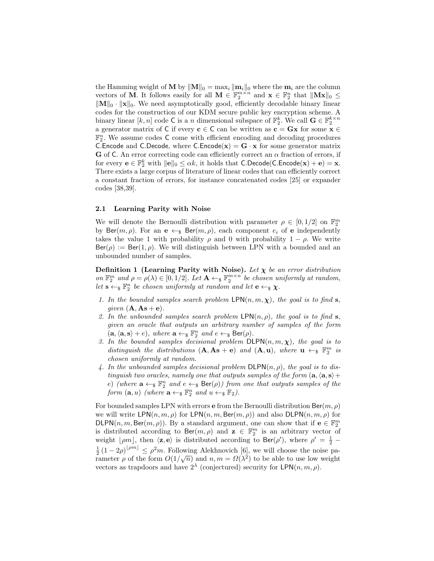the Hamming weight of **M** by  $||\mathbf{M}||_0 = \max_i ||\mathbf{m}_i||_0$  where the  $\mathbf{m}_i$  are the column vectors of M. It follows easily for all  $M \in \mathbb{F}_2^{m \times n}$  and  $\mathbf{x} \in \mathbb{F}_2^n$  that  $||M\mathbf{x}||_0 \leq$  $\|\mathbf{M}\|_0 \cdot \|\mathbf{x}\|_0$ . We need asymptotically good, efficiently decodable binary linear codes for the construction of our KDM secure public key encryption scheme. A binary linear  $[k, n]$  code C is a n dimensional subspace of  $\mathbb{F}_2^k$ . We call  $\mathbf{G} \in \mathbb{F}_2^{k \times n}$ a generator matrix of C if every  $c \in C$  can be written as  $c = Gx$  for some  $x \in C$  $\mathbb{F}_2^n$ . We assume codes C come with efficient encoding and decoding procedures C.Encode and C.Decode, where C.Encode( $\mathbf{x}$ ) =  $\mathbf{G} \cdot \mathbf{x}$  for some generator matrix G of C. An error correcting code can efficiently correct an  $\alpha$  fraction of errors, if for every  $\mathbf{e} \in \mathbb{F}_2^k$  with  $\|\mathbf{e}\|_0 \leq \alpha k$ , it holds that C.Decode(C.Encode(x) + e) = x. There exists a large corpus of literature of linear codes that can efficiently correct a constant fraction of errors, for instance concatenated codes [25] or expander codes [38,39].

### 2.1 Learning Parity with Noise

We will denote the Bernoulli distribution with parameter  $\rho \in [0, 1/2]$  on  $\mathbb{F}_2^m$ by Ber $(m, \rho)$ . For an  $e \leftarrow s$  Ber $(m, \rho)$ , each component  $e_i$  of e independently takes the value 1 with probability  $\rho$  and 0 with probability  $1 - \rho$ . We write  $\text{Ber}(\rho) := \text{Ber}(1, \rho)$ . We will distinguish between LPN with a bounded and an unbounded number of samples.

Definition 1 (Learning Parity with Noise). Let  $\chi$  be an error distribution on  $\mathbb{F}_2^m$  and  $\rho = \rho(\lambda) \in [0, 1/2]$ . Let  $\mathbf{A} \leftarrow_{\mathbb{S}} \mathbb{F}_2^{m \times n}$  be chosen uniformly at random, let  $s \leftarrow s \mathbb{F}_2^n$  be chosen uniformly at random and let  $e \leftarrow s \chi$ .

- 1. In the bounded samples search problem  $\text{LPN}(n, m, \chi)$ , the goal is to find s, given  $(A, As + e)$ .
- 2. In the unbounded samples search problem  $\text{LPN}(n, \rho)$ , the goal is to find s, given an oracle that outputs an arbitrary number of samples of the form  $(a, \langle a, s \rangle + e)$ , where  $a \leftarrow_s \mathbb{F}_2^n$  and  $e \leftarrow_s \text{Ber}(\rho)$ .
- 3. In the bounded samples decisional problem  $\text{DLPN}(n, m, \chi)$ , the goal is to distinguish the distributions  $(A, As + e)$  and  $(A, u)$ , where  $u \leftarrow s \mathbb{F}_2^m$  is chosen uniformly at random.
- 4. In the unbounded samples decisional problem  $\text{DLPN}(n, \rho)$ , the goal is to distinguish two oracles, namely one that outputs samples of the form  $(a, \langle a, s \rangle +$ e) (where  $\mathbf{a} \leftarrow s \mathbb{F}_2^n$  and  $e \leftarrow s \text{Ber}(\rho)$ ) from one that outputs samples of the form  $(\mathbf{a}, u)$  (where  $\mathbf{a} \leftarrow_{\$} \mathbb{F}_2^n$  and  $u \leftarrow_{\$} \mathbb{F}_2$ ).

For bounded samples LPN with errors **e** from the Bernoulli distribution  $Ber(m, \rho)$ we will write LPN $(n, m, \rho)$  for LPN $(n, m, \text{Ber}(m, \rho))$  and also DLPN $(n, m, \rho)$  for DLPN(n, m, Ber(m,  $\rho$ )). By a standard argument, one can show that if  $e \in \mathbb{F}_2^m$ is distributed according to Ber $(m, \rho)$  and  $\mathbf{z} \in \mathbb{F}_2^m$  is an arbitrary vector of weight  $\lfloor \rho m \rfloor$ , then  $\langle z, e \rangle$  is distributed according to Ber( $\rho'$ ), where  $\rho' = \frac{1}{2}$  $\frac{1}{2}(1-2\rho)^{\lfloor \rho m \rfloor} \leq \rho^2 m$ . Following Alekhnovich [6], we will choose the noise parameter  $\rho$  of the form  $O(1/\sqrt{n})$  and  $n, m = \Omega(\lambda^2)$  to be able to use low weight vectors as trapdoors and have  $2^{\lambda}$  (conjectured) security for LPN $(n, m, \rho)$ .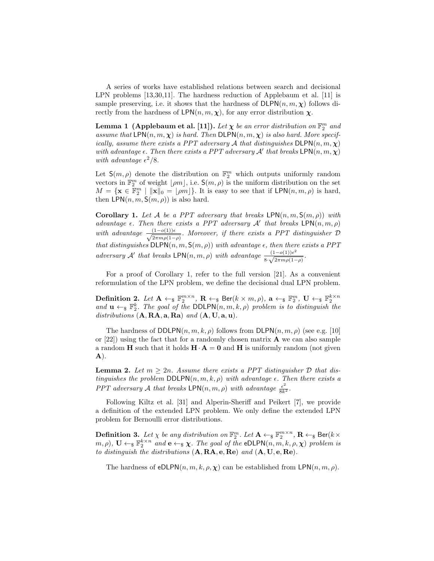A series of works have established relations between search and decisional LPN problems [13,30,11]. The hardness reduction of Applebaum et al. [11] is sample preserving, i.e. it shows that the hardness of  $\text{DLPN}(n, m, \chi)$  follows directly from the hardness of  $\mathsf{LPN}(n,m,\boldsymbol{\chi}),$  for any error distribution  $\boldsymbol{\chi}.$ 

**Lemma 1** (Applebaum et al. [11]). Let  $\chi$  be an error distribution on  $\mathbb{F}_2^m$  and assume that  $\text{LPN}(n, m, \chi)$  is hard. Then  $\text{DLPN}(n, m, \chi)$  is also hard. More specifically, assume there exists a PPT adversary A that distinguishes  $\text{DLPN}(n, m, \chi)$ with advantage  $\epsilon$ . Then there exists a PPT adversary A' that breaks LPN $(n, m, \chi)$ with advantage  $\epsilon^2/8$ .

Let  $S(m, \rho)$  denote the distribution on  $\mathbb{F}_2^m$  which outputs uniformly random vectors in  $\mathbb{F}_2^m$  of weight  $\lfloor \rho m \rfloor$ , i.e.  $\mathsf{S}(m, \rho)$  is the uniform distribution on the set  $M = {\mathbf{x} \in \mathbb{F}_2^m \mid ||\mathbf{x}||_0 = [ \rho m ]}.$  It is easy to see that if  $\textsf{LPN}(n, m, \rho)$  is hard, then  $\textsf{LPN}(n, m, \textsf{S}(m, \rho))$  is also hard.

**Corollary 1.** Let A be a PPT adversary that breaks  $\text{LPN}(n, m, S(m, \rho))$  with advantage  $\epsilon$ . Then there exists a PPT adversary A' that breaks LPN $(n, m, \rho)$ with advantage  $\frac{(1-o(1))\epsilon}{\sqrt{2}}$  $\frac{(1-\partial(1))\epsilon}{2\pi m\rho(1-\rho)}$ . Moreover, if there exists a PPT distinguisher  $\mathcal D$ that distinguishes  $\text{DLPN}(n, m, \mathsf{S}(m, \rho))$  with advantage  $\epsilon$ , then there exists a PPT adversary A' that breaks LPN $(n, m, \rho)$  with advantage  $\frac{(1 - o(1))\epsilon^2}{\sqrt{n}}$  $\frac{(1-o(1))\epsilon^2}{8\cdot\sqrt{2\pi m\rho(1-\rho)}}$ .

For a proof of Corollary 1, refer to the full version [21]. As a convenient reformulation of the LPN problem, we define the decisional dual LPN problem.

Definition 2. Let  $\mathbf{A} \leftarrow_{\$} \mathbb{F}_{2}^{m \times n}$ ,  $\mathbf{R} \leftarrow_{\$} \text{Ber}(k \times m, \rho)$ ,  $\mathbf{a} \leftarrow_{\$} \mathbb{F}_{2}^{m}$ ,  $\mathbf{U} \leftarrow_{\$} \mathbb{F}_{2}^{k \times n}$ and  $\mathbf{u} \leftarrow_{\$} \mathbb{F}_2^k$ . The goal of the DDLPN $(n, m, k, \rho)$  problem is to distinguish the distributions  $(A, RA, a, Ra)$  and  $(A, U, a, u)$ .

The hardness of DDLPN $(n, m, k, \rho)$  follows from DLPN $(n, m, \rho)$  (see e.g. [10] or  $[22]$ ) using the fact that for a randomly chosen matrix **A** we can also sample a random **H** such that it holds  $\mathbf{H} \cdot \mathbf{A} = \mathbf{0}$  and **H** is uniformly random (not given A).

**Lemma 2.** Let  $m \geq 2n$ . Assume there exists a PPT distinguisher  $D$  that distinguishes the problem DDLPN $(n, m, k, \rho)$  with advantage  $\epsilon$ . Then there exists a PPT adversary A that breaks LPN $(n, m, \rho)$  with advantage  $\frac{\epsilon^2}{8k^2}$ .

Following Kiltz et al. [31] and Alperin-Sheriff and Peikert [7], we provide a definition of the extended LPN problem. We only define the extended LPN problem for Bernoulli error distributions.

**Definition 3.** Let  $\chi$  be any distribution on  $\mathbb{F}_2^m$ . Let  $\mathbf{A} \leftarrow_s \mathbb{F}_2^{m \times n}$ ,  $\mathbf{R} \leftarrow_s \text{Ber}(k \times n)$  $(m, \rho)$ ,  $\mathbf{U} \leftarrow_{\$} \mathbb{F}_2^{k \times n}$  and  $\mathbf{e} \leftarrow_{\$} \chi$ . The goal of the eDLPN $(n, m, k, \rho, \chi)$  problem is to distinguish the distributions  $(A, RA, e, Re)$  and  $(A, U, e, Re)$ .

The hardness of  $eDLPN(n, m, k, \rho, \chi)$  can be established from  $LPN(n, m, \rho)$ .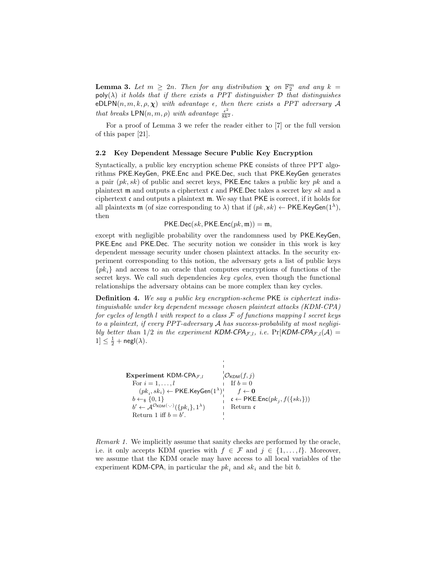**Lemma 3.** Let  $m \ge 2n$ . Then for any distribution  $\chi$  on  $\mathbb{F}_2^m$  and any  $k =$  $\text{poly}(\lambda)$  it holds that if there exists a PPT distinguisher  $\mathcal D$  that distinguishes eDLPN $(n, m, k, \rho, \chi)$  with advantage  $\epsilon$ , then there exists a PPT adversary A that breaks  $\textsf{LPN}(n,m,\rho)$  with advantage  $\frac{\epsilon^2}{8k^2}$ .

For a proof of Lemma 3 we refer the reader either to [7] or the full version of this paper [21].

### 2.2 Key Dependent Message Secure Public Key Encryption

Syntactically, a public key encryption scheme PKE consists of three PPT algorithms PKE.KeyGen, PKE.Enc and PKE.Dec, such that PKE.KeyGen generates a pair  $(pk, sk)$  of public and secret keys, PKE. Enc takes a public key pk and a plaintext m and outputs a ciphertext c and PKE.Dec takes a secret key sk and a ciphertext  $\mathfrak c$  and outputs a plaintext  $\mathfrak m$ . We say that PKE is correct, if it holds for all plaintexts  $\mathfrak m$  (of size corresponding to  $\lambda$ ) that if  $(pk, sk) \leftarrow \mathsf{PKE}$ .KeyGen $(1^{\lambda})$ , then

 $PKE.Dec(sk, PKE.Enc(pk, m)) = m$ ,

except with negligible probability over the randomness used by PKE.KeyGen, PKE.Enc and PKE.Dec. The security notion we consider in this work is key dependent message security under chosen plaintext attacks. In the security experiment corresponding to this notion, the adversary gets a list of public keys  $\{pk_i\}$  and access to an oracle that computes encryptions of functions of the secret keys. We call such dependencies key cycles, even though the functional relationships the adversary obtains can be more complex than key cycles.

Definition 4. We say a public key encryption-scheme PKE is ciphertext indistinguishable under key dependent message chosen plaintext attacks (KDM-CPA) for cycles of length l with respect to a class  $\mathcal F$  of functions mapping l secret keys to a plaintext, if every PPT-adversary A has success-probability at most negligibly better than  $1/2$  in the experiment KDM-CPA<sub>F,l</sub>, i.e. Pr[KDM-CPA<sub>F,l</sub>(A) =  $1] \leq \frac{1}{2} + \mathsf{negl}(\lambda).$ 

Experiment KDM-CPA<sup>F</sup>,l For i = 1, . . . , l (pk<sup>i</sup> , ski) ← PKE.KeyGen(1<sup>λ</sup> ) b ←\$ {0, 1} b <sup>0</sup> ← A<sup>O</sup>KDM(·,·) ({pki}, 1 λ ) Return 1 iff b = b 0 . OKDM(f, j) If b = 0 f ← 0 c ← PKE.Enc(pk<sup>j</sup> , f({ski})) Return c

Remark 1. We implicitly assume that sanity checks are performed by the oracle, i.e. it only accepts KDM queries with  $f \in \mathcal{F}$  and  $j \in \{1, \ldots, l\}$ . Moreover, we assume that the KDM oracle may have access to all local variables of the experiment KDM-CPA, in particular the  $pk_i$  and  $sk_i$  and the bit b.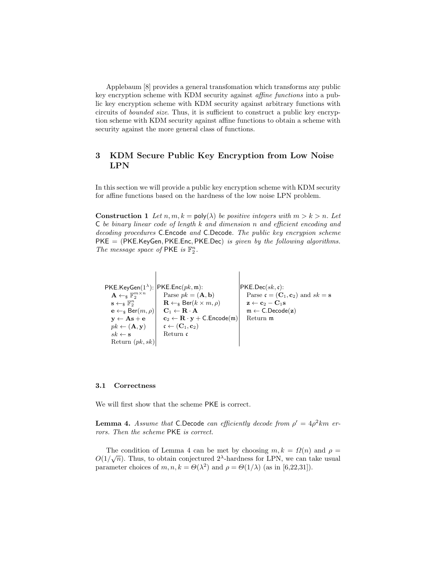Applebaum [8] provides a general transfomation which transforms any public key encryption scheme with KDM security against affine functions into a public key encryption scheme with KDM security against arbitrary functions with circuits of bounded size. Thus, it is sufficient to construct a public key encryption scheme with KDM security against affine functions to obtain a scheme with security against the more general class of functions.

# 3 KDM Secure Public Key Encryption from Low Noise LPN

In this section we will provide a public key encryption scheme with KDM security for affine functions based on the hardness of the low noise LPN problem.

**Construction 1** Let  $n, m, k = \text{poly}(\lambda)$  be positive integers with  $m > k > n$ . Let C be binary linear code of length k and dimension n and efficient encoding and decoding procedures C.Encode and C.Decode. The public key encrypion scheme  $PKE = (PKE.KeyGen, PKE. Enc, PKE. Dec)$  is given by the following algorithms. The message space of PKE is  $\mathbb{F}_2^n$ .

$$
\begin{array}{l|l|l|l}\n\texttt{PKE}.\mathsf{KeyGen}(1^\lambda): & & & & & & & & & \\
\mathbf{A} \leftarrow_{\$} \mathbb{F}_2^{m \times n} & & & & & & & \\
\mathbf{s} \leftarrow_{\$} \mathbb{F}_2^n & & & & & & \\
\mathbf{s} \leftarrow_{\$} \mathbb{F}_2^n & & & & & & \\
\mathbf{R} \leftarrow_{\$} \mathsf{Ber}(k \times m, \rho) & & & & & & \\
\mathbf{s} \leftarrow_{\$} \mathsf{Ber}(m, \rho) & & & & & & \\
\mathbf{R} \leftarrow_{\$} \mathsf{Ber}(k \times m, \rho) & & & & & & \\
\mathbf{s} \leftarrow_{\$} \mathbf{Pr}(k \times m, \rho) & & & & & & \\
\mathbf{R} \leftarrow_{\$} \mathbf{Pr}(k \times m, \rho) & & & & & & \\
\mathbf{R} \leftarrow_{\$} \mathbf{Pr}(k \times m, \rho) & & & & & & \\
\mathbf{R} \leftarrow_{\$} \mathbf{Pr}(k \times m, \rho) & & & & & & \\
\mathbf{R} \leftarrow_{\$} \mathbf{Pr}(k \times m, \rho) & & & & & & \\
\mathbf{R} \leftarrow_{\$} \mathbf{Pr}(k \times m, \rho) & & & & & & \\
\mathbf{R} \leftarrow_{\$} \mathbf{Pr}(k \times m, \rho) & & & & & \\
\mathbf{R} \leftarrow_{\$} \mathbf{Pr}(k \times m, \rho) & & & & & & \\
\mathbf{R} \leftarrow_{\$} \mathbf{Pr}(k \times m, \rho) & & & & & & \\
\mathbf{R} \leftarrow_{\$} \mathbf{Pr}(k \times m, \rho) & & & & & & \\
\mathbf{R} \leftarrow_{\$} \mathbf{Pr}(k \times m, \rho) & & & & & & \\
\mathbf{R} \leftarrow_{\$} \mathbf{Pr}(k \times m, \rho) & & & & & & \\
\mathbf{R} \leftarrow_{\$} \mathbf{Pr}(k \times m, \rho) & & & & & & \\
\mathbf{R} \leftarrow_{\$} \mathbf{Pr}(k \times m, \rho) & & & & & & \\
\mathbf{R} \leftarrow_{\$} \mathbf{Pr}(k \times m, \rho) & & & & & & \\
\mathbf{R} \leftarrow_{\$} \mathbf{Pr}(k \times m,
$$

### 3.1 Correctness

We will first show that the scheme PKE is correct.

**Lemma 4.** Assume that C.Decode can efficiently decode from  $\rho' = 4\rho^2 km$  errors. Then the scheme PKE is correct.

The condition of Lemma 4 can be met by choosing  $m, k = \Omega(n)$  and  $\rho = \sqrt{n}$ .  $O(1/\sqrt{n})$ . Thus, to obtain conjectured  $2^{\lambda}$ -hardness for LPN, we can take usual parameter choices of  $m, n, k = \Theta(\lambda^2)$  and  $\rho = \Theta(1/\lambda)$  (as in [6,22,31]).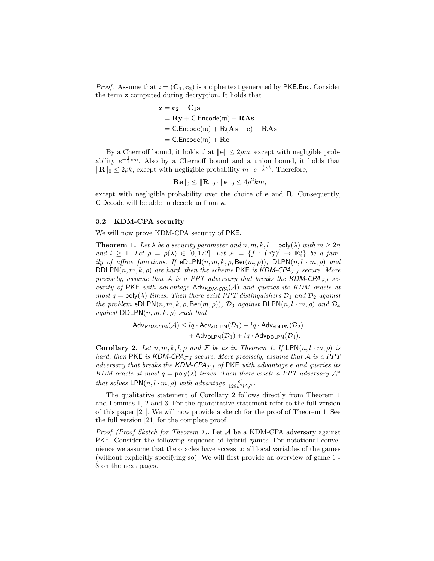*Proof.* Assume that  $c = (C_1, c_2)$  is a ciphertext generated by PKE. Enc. Consider the term z computed during decryption. It holds that

$$
z = c_2 - C_1s
$$
  
= Ry + C.Encode(m) - RAs  
= C.Encode(m) + R(As + e) - RAs  
= C.Encode(m) + Re

By a Chernoff bound, it holds that  $||\mathbf{e}|| \leq 2\rho m$ , except with negligible probability  $e^{-\frac{1}{3}\rho m}$ . Also by a Chernoff bound and a union bound, it holds that  $\|\mathbf{R}\|_0 \leq 2\rho k$ , except with negligible probability  $m \cdot e^{-\frac{1}{3}\rho k}$ . Therefore,

 $\|\textbf{Re}\|_0 \leq \|\textbf{R}\|_0 \cdot \|\textbf{e}\|_0 \leq 4\rho^2 km,$ 

except with negligible probability over the choice of  $e$  and  $R$ . Consequently, C.Decode will be able to decode m from z.

### 3.2 KDM-CPA security

We will now prove KDM-CPA security of PKE.

**Theorem 1.** Let  $\lambda$  be a security parameter and  $n, m, k, l = \text{poly}(\lambda)$  with  $m \geq 2n$ and  $l \geq 1$ . Let  $\rho = \rho(\lambda) \in [0, 1/2]$ . Let  $\mathcal{F} = \{f : (\mathbb{F}_2^n)^l \to \mathbb{F}_2^n\}$  be a family of affine functions. If  $eDLPN(n, m, k, \rho, Ber(m, \rho))$ ,  $DLPN(n, l \cdot m, \rho)$  and DDLPN $(n, m, k, \rho)$  are hard, then the scheme PKE is KDM-CPA<sub>F,l</sub> secure. More precisely, assume that A is a PPT adversary that breaks the KDM-CPA<sub>F,l</sub> security of PKE with advantage  $\mathsf{Adv}_{\mathsf{KDM}\text{-}\mathsf{CPA}}(\mathcal{A})$  and queries its KDM oracle at most  $q = \text{poly}(\lambda)$  times. Then there exist PPT distinguishers  $\mathcal{D}_1$  and  $\mathcal{D}_2$  against the problem eDLPN $(n, m, k, \rho, \text{Ber}(m, \rho)), \mathcal{D}_3$  against DLPN $(n, l \cdot m, \rho)$  and  $\mathcal{D}_4$ against  $DDLPN(n, m, k, \rho)$  such that

> $\mathsf{Adv}_{\mathsf{KDM}\text{-}\mathsf{CPA}}(\mathcal{A}) \leq lq \cdot \mathsf{Adv}_{\mathsf{eDLPN}}(\mathcal{D}_1) + lq \cdot \mathsf{Adv}_{\mathsf{eDLPN}}(\mathcal{D}_2)$ + Adv<sub>DLPN</sub> $(\mathcal{D}_3)$  + lq · Adv<sub>DDLPN</sub> $(\mathcal{D}_4)$ .

**Corollary 2.** Let  $n, m, k, l, \rho$  and F be as in Theorem 1. If  $\textsf{LPN}(n, l \cdot m, \rho)$  is hard, then PKE is KDM-CPA<sub>F,l</sub> secure. More precisely, assume that A is a PPT adversary that breaks the KDM-CPA<sub>F,l</sub> of PKE with advantage  $\epsilon$  and queries its KDM oracle at most  $q = poly(\lambda)$  times. Then there exists a PPT adversary  $\mathcal{A}^*$ that solves LPN $(n, l \cdot m, \rho)$  with advantage  $\frac{\epsilon^2}{128k^2}$  $\frac{\epsilon^2}{128k^2l^2q^2}$ .

The qualitative statement of Corollary 2 follows directly from Theorem 1 and Lemmas 1, 2 and 3. For the quantitative statement refer to the full version of this paper [21]. We will now provide a sketch for the proof of Theorem 1. See the full version [21] for the complete proof.

Proof (Proof Sketch for Theorem 1). Let A be a KDM-CPA adversary against PKE. Consider the following sequence of hybrid games. For notational convenience we assume that the oracles have access to all local variables of the games (without explicitly specifying so). We will first provide an overview of game 1 - 8 on the next pages.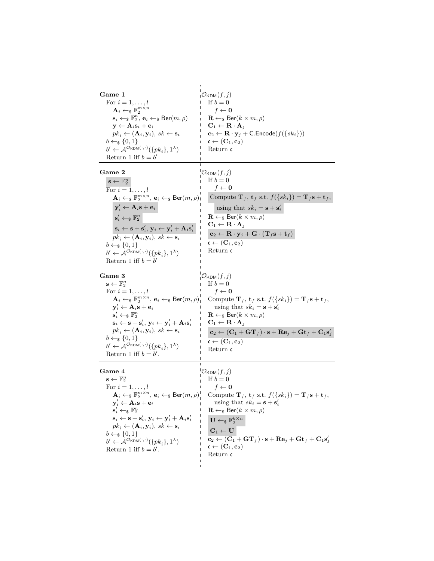Game 1 For  $i=1,\ldots,l$  $\mathbf{A}_i \leftarrow_\$ \mathbb{F}_2^{m \times n}$  $\mathbf{s}_i \leftarrow_\$ \mathbb{F}_2^n, \, \mathbf{e}_i \leftarrow_\$ \textsf{Ber}(m,\rho)$  $y \leftarrow A_i s_i + e_i$  $pk_i \leftarrow (\mathbf{A}_i, \mathbf{y}_i), sk \leftarrow \mathbf{s}_i$  $b \leftarrow_s \{0, 1\}$  $b' \leftarrow \mathcal{A}^{\mathcal{O}_{\mathsf{KDM}}(\cdot,\cdot)}(\{pk_i\},1^{\lambda})$ Return 1 iff  $b = b'$  $\mathcal{O}_{\text{KDM}}(f, j)$ If  $b = 0$  $f \leftarrow \mathbf{0}$  $\mathbf{R} \leftarrow_s \text{Ber}(k \times m, \rho)$  $\mathbf{C}_1 \leftarrow \mathbf{R} \cdot \mathbf{A}_j$  $\mathbf{c}_2 \leftarrow \mathbf{R} \cdot \mathbf{y}_j + \mathsf{C}.\mathsf{Encode}(f(\{sk_i\}))$  $\mathfrak{c} \leftarrow (\mathbf{C}_1, \mathbf{c}_2)$ Return c Game 2  $\mathbf{s} \leftarrow \mathbb{F}_2^n$ For  $i = 1, \ldots, l$  $\mathbf{A}_i \leftarrow$   $\mathbb{F}_2^{m \times n}$ ,  $\mathbf{e}_i \leftarrow$  Ber $(m, \rho)$  $\mathbf{y}_i' \leftarrow \mathbf{A}_i\mathbf{s} + \mathbf{e}_i$  $\mathbf{s}'_i \leftarrow_\$ \mathbb{F}_2^n$  $\mathbf{s}_i \leftarrow \mathbf{s} + \mathbf{s}_i', \, \mathbf{y}_i \leftarrow \mathbf{y}_i' + \mathbf{A}_i \mathbf{s}_i'$  $pk_i \leftarrow (\mathbf{A}_i, \mathbf{y}_i), sk \leftarrow \mathbf{s}_i$  $b \leftarrow s \{0, 1\}$  $b' \leftarrow \mathcal{A}^{\mathcal{O}_{\mathsf{KDM}}(\cdot,\cdot)}(\{pk_i\},1^{\lambda})$ Return 1 iff  $b = b'$  $\mathcal{O}_{\mathsf{KDM}}(f,j)$ If  $b = 0$  $f \leftarrow \mathbf{0}$ Compute  $\mathbf{T}_f$ ,  $\mathbf{t}_f$  s.t.  $f({sk_i}) = \mathbf{T}_f \mathbf{s} + \mathbf{t}_f$ , using that  $sk_i = \mathbf{s} + \mathbf{s}'_i$  $\mathbf{R} \leftarrow_s \text{Ber}(k \times m, \rho)$  $\mathbf{C}_1 \leftarrow \mathbf{R} \cdot \mathbf{A}_j$  $\mathbf{c}_2 \leftarrow \mathbf{R} \cdot \mathbf{y}_j + \mathbf{G} \cdot (\mathbf{T}_f \mathbf{s} + \mathbf{t}_f)$  $c \leftarrow (C_1, c_2)$ Return c Game 3  $\mathbf{s} \leftarrow \mathbb{F}_2^n$ For  $i = 1, \ldots, l$  $\mathbf{A}_i \leftarrow$   $\mathbb{F}_2^{m \times n}$ ,  $\mathbf{e}_i \leftarrow$  Ber $(m, \rho)$  $\mathbf{y}_i' \leftarrow \mathbf{A}_i\bar{\mathbf{s}} + \mathbf{e}_i$  $\mathbf{s}'_i \leftarrow_\$ \mathbb{F}_2^n$  $\mathbf{s}_i \leftarrow \mathbf{s} + \mathbf{s}_i', \, \mathbf{y}_i \leftarrow \mathbf{y}_i' + \mathbf{A}_i \mathbf{s}_i'$  $pk_i \leftarrow (\mathbf{A}_i, \mathbf{y}_i), sk \leftarrow \mathbf{s}_i$  $b \leftarrow s \{0, 1\}$  $b' \leftarrow \mathcal{A}^{\mathcal{O}_{\mathsf{KDM}}(\cdot,\cdot)}(\{pk_i\},1^{\lambda})$ Return 1 iff  $b = b'$ .  $\mathcal{O}_{\mathsf{KDM}}(f,j)$ If  $b = 0$  $f \leftarrow \mathbf{0}$ Compute  $\mathbf{T}_f$ ,  $\mathbf{t}_f$  s.t.  $f({sk_i}) = \mathbf{T}_f \mathbf{s} + \mathbf{t}_f$ , using that  $sk_i = \mathbf{s} + \mathbf{s}'_i$  $\mathbf{R} \leftarrow$ <sub>\$</sub> Ber( $k \times m, \rho$ )  $\mathbf{C}_1 \leftarrow \mathbf{R} \cdot \mathbf{A}_j$  $\mathbf{c}_2 \leftarrow (\mathbf{C}_1 + \mathbf{G} \mathbf{T}_f) \cdot \mathbf{s} + \mathbf{R} \mathbf{e}_j + \mathbf{G} \mathbf{t}_f + \mathbf{C}_1 \mathbf{s}'_j$  $\mathfrak{c} \leftarrow (\mathbf{C}_1, \mathbf{c}_2)$ Return c Game 4  $\mathbf{s} \leftarrow \mathbb{F}_2^n$ For  $i=1,\ldots,l$  $\mathbf{A}_i \leftarrow$   $\mathbb{F}_2^{m \times n}$ ,  $\mathbf{e}_i \leftarrow$  Ber $(m, \rho)$  $\mathbf{y}_i' \leftarrow \mathbf{A}_i\mathbf{s} + \mathbf{e}_i$  $\mathbf{s}'_i \leftarrow_\$ \mathbb{F}_2^n$  $\mathbf{s}_i \leftarrow \mathbf{s} + \mathbf{s}_i', \, \mathbf{y}_i \leftarrow \mathbf{y}_i' + \mathbf{A}_i \mathbf{s}_i'$  $pk_i \leftarrow (\mathbf{A}_i, \mathbf{y}_i), \, sk \leftarrow \mathbf{s}_i$  $b \leftarrow_s \{0, 1\}$  $b' \leftarrow \mathcal{A}^{\mathcal{O}_{\mathsf{KDM}}(\cdot,\cdot)}(\{pk_i\},1^{\lambda})$ Return 1 iff  $b = b'$ .  $\mathcal{O}_{\mathsf{KDM}}(f,j)$ If  $b = 0$  $f \leftarrow \mathbf{0}$ Compute  $\mathbf{T}_f$ ,  $\mathbf{t}_f$  s.t.  $f({sk_i}) = \mathbf{T}_f \mathbf{s} + \mathbf{t}_f$ , using that  $sk_i = \mathbf{s} + \mathbf{s}'_i$  $\mathbf{R} \leftarrow$ <sub>\$</sub> Ber( $k \times m, \rho$ )  $\mathbf{U} \leftarrow_\$ \mathbb{F}_2^{k \times n}$  $\mathbf{C}_1 \leftarrow \mathbf{U}$  $\overline{{\bf c}_2 \leftarrow ({\bf C}_1 + {\bf G}{\bf T}_f)\cdot {\bf s} + {\bf Re}_j + {\bf G}{\bf t}_f + {\bf C}_1{\bf s}_j'$  $\mathfrak{c} \leftarrow (\mathbf{C}_1, \mathbf{c}_2)$ Return c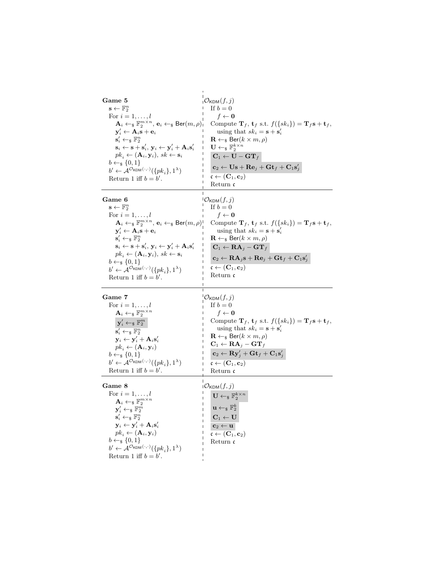| Game 5<br>$\mathbf{s} \leftarrow \mathbb{F}_2^n$<br>For $i=1,\ldots,l$<br>$\mathbf{A}_i \leftarrow_{\$} \mathbb{F}_2^{m \times n}, \mathbf{e}_i \leftarrow_{\$} \mathsf{Ber}(m, \rho)$<br>$y'_i \leftarrow A_i s + e_i$<br>$\mathbf{s}'_i \leftarrow_{\$} \mathbb{F}_2^n$<br>$\mathbf{s}_i \leftarrow \mathbf{s} + \mathbf{s}'_i, \, \mathbf{y}_i \leftarrow \mathbf{y}'_i + \mathbf{A}_i \mathbf{s}'_i$<br>$pk_i \leftarrow (\mathbf{A}_i, \mathbf{y}_i), sk \leftarrow \mathbf{s}_i$<br>$b \leftarrow_{\$} \{0,1\}$<br>$b' \leftarrow \mathcal{A}^{\mathcal{O}_{\mathsf{KDM}}(\cdot, \cdot)}(\{pk_i\}, 1^{\lambda})$<br>Return 1 iff $b = b'$ . | $\mathcal{O}_{\mathsf{KDM}}(f,j)$<br>If $b=0$<br>$f \leftarrow \mathbf{0}$<br>Compute $\mathbf{T}_f$ , $\mathbf{t}_f$ s.t. $f({sk_i}) = \mathbf{T}_f \mathbf{s} + \mathbf{t}_f$ ,<br>using that $sk_i = \mathbf{s} + \mathbf{s}'_i$<br>$\mathbf{R} \leftarrow$ <sub>\$</sub> Ber( $k \times m, \rho$ )<br>$\mathbf{U} \leftarrow_{\$} \mathbb{F}_2^{k \times n}$<br>$\mathbf{C}_1 \leftarrow \mathbf{U} - \mathbf{GT}_f$<br>$\mathbf{c}_2 \leftarrow \mathbf{Us} + \mathbf{Re}_j + \mathbf{Gt}_f + \mathbf{C}_1 \mathbf{s}'_j$<br>$\mathfrak{c} \leftarrow (\mathbf{C}_1, \mathbf{c}_2)$<br>Return c |
|---------------------------------------------------------------------------------------------------------------------------------------------------------------------------------------------------------------------------------------------------------------------------------------------------------------------------------------------------------------------------------------------------------------------------------------------------------------------------------------------------------------------------------------------------------------------------------------------------------------------------------------------------|------------------------------------------------------------------------------------------------------------------------------------------------------------------------------------------------------------------------------------------------------------------------------------------------------------------------------------------------------------------------------------------------------------------------------------------------------------------------------------------------------------------------------------------------------------------------------------------------------|
| Game 6<br>$\mathbf{s} \leftarrow \mathbb{F}_2^n$<br>For $i=1,\ldots,l$<br>$\mathbf{A}_i \leftarrow_{\$} \mathbb{F}_2^{m \times n}, \mathbf{e}_i \leftarrow_{\$} \mathsf{Ber}(m, \rho)^t$<br>$y'_i \leftarrow A_i s + e_i$<br>$\mathbf{s}'_i \leftarrow_{\$} \mathbb{F}_2^n$<br>$\mathbf{s}_i \leftarrow \mathbf{s} + \mathbf{s}_i', \, \mathbf{y}_i \leftarrow \mathbf{y}_i' + \mathbf{A}_i \mathbf{s}_i'$<br>$pk_i \leftarrow (\mathbf{A}_i, \mathbf{y}_i), sk \leftarrow \mathbf{s}_i$<br>$b \leftarrow_{\$} \{0,1\}$<br>$b' \leftarrow \mathcal{A}^{\mathcal{O}_{\mathsf{KDM}}(\cdot,\cdot)}(\{pk_i\},1^{\lambda})$<br>Return 1 iff $b = b'$ . | $\mathcal{O}_{\mathsf{KDM}}(f,j)$<br>If $b=0$<br>$f \leftarrow \mathbf{0}$<br>Compute $\mathbf{T}_f$ , $\mathbf{t}_f$ s.t. $f({sk_i}) = \mathbf{T}_f \mathbf{s} + \mathbf{t}_f$ ,<br>using that $sk_i = \mathbf{s} + \mathbf{s}'_i$<br>$\mathbf{R} \leftarrow_{\$} \mathsf{Ber}(k \times m, \rho)$<br>$\mathbf{C}_1 \leftarrow \mathbf{RA}_j - \mathbf{GT}_f$<br>$\mathbf{c}_2 \leftarrow \mathbf{R} \mathbf{A}_j \mathbf{s} + \mathbf{R} \mathbf{e}_j + \mathbf{G} \mathbf{t}_f + \mathbf{C}_1 \mathbf{s}'_j$<br>$\mathfrak{c} \leftarrow (\mathbf{C}_1, \mathbf{c}_2)$<br>Return c                 |
| Game 7<br>For $i=1,\ldots,l$<br>$\mathbf{A}_i \leftarrow \mathbb{s} \ \mathbb{F}_2^{m \times n}$<br>$\mathbf{y}'_i \leftarrow_{\$} \mathbb{F}_2^m$<br>$\mathbf{s}'_i \leftarrow_{\$} \mathbb{F}_2^n$<br>$y_i \leftarrow y'_i + A_i s'_i$<br>$pk_i \leftarrow (\mathbf{A}_i, \mathbf{y}_i)$<br>$b \leftarrow s \{0,1\}$<br>$b' \leftarrow \mathcal{A}^{\mathcal{O}_{\mathsf{KDM}}(\cdot, \cdot)}(\{pk_i\}, 1^{\lambda})$<br>Return 1 iff $b = b'$ .                                                                                                                                                                                                | $\mathcal{O}_{\mathsf{KDM}}(f,j)$<br>If $b=0$<br>$f \leftarrow \mathbf{0}$<br>Compute $\mathbf{T}_f$ , $\mathbf{t}_f$ s.t. $f({sk_i}) = \mathbf{T}_f \mathbf{s} + \mathbf{t}_f$ ,<br>using that $sk_i = \mathbf{s} + \mathbf{s}'_i$<br>$\mathbf{R} \leftarrow_{\$} \mathsf{Ber}(k \times m, \rho)$<br>$\mathbf{C}_1 \leftarrow \mathbf{RA}_j - \mathbf{GT}_f$<br>$\mathbf{c}_2 \leftarrow \mathbf{R} \mathbf{y}_j' + \mathbf{G} \mathbf{t}_f + \mathbf{C}_1 \mathbf{s}_j'$<br>$\mathfrak{c} \leftarrow (\mathbf{C}_1, \mathbf{c}_2)$<br>Return c                                                     |
| Game 8<br>For $i=1,\ldots,l$<br>$\mathbf{A}_i \leftarrow \S \mathbb{F}_2^{m \times n}$<br>$\mathbf{y}_i' \leftarrow$ $\mathbb{F}_2^m$<br>$\mathbf{s}'_i \leftarrow_{\$} \mathbb{F}_2^n$<br>$\mathbf{y}_i \leftarrow \mathbf{y}_i' + \mathbf{A}_i \mathbf{s}_i'$<br>$pk_i \leftarrow (\mathbf{A}_i, \mathbf{y}_i)$<br>$b \leftarrow s \{0,1\}$<br>$b' \leftarrow \mathcal{A}^{\mathcal{O}_{\mathsf{KDM}}(\cdot, \cdot)}(\{pk_i\}, 1^{\lambda})$<br>Return 1 iff $b = b'$ .                                                                                                                                                                         | $\mathcal{O}_{\mathsf{KDM}}(f,j)$<br>$\mathbf{U} \leftarrow_{\$} \mathbb{F}_2^{k \times n}$<br>$\mathbf{u} \leftarrow_{\$} \mathbb{F}_2^k$<br>$\mathbf{C}_1 \leftarrow \mathbf{U}$<br>$\mathbf{c}_2 \leftarrow \mathbf{u}$<br>$\mathfrak{c} \leftarrow (\overline{{\mathbf{C}}_1}, {\mathbf{c}}_2)$<br>Return c                                                                                                                                                                                                                                                                                      |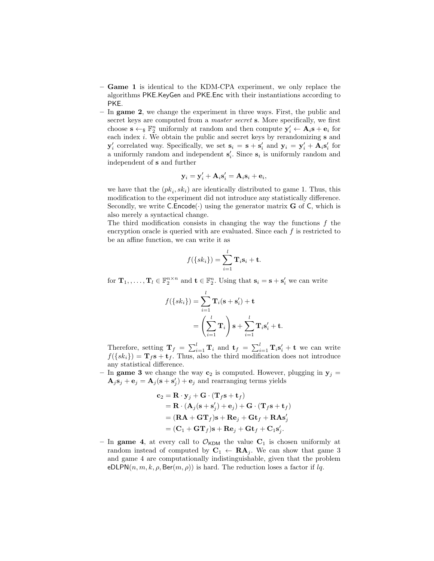- Game 1 is identical to the KDM-CPA experiment, we only replace the algorithms PKE.KeyGen and PKE.Enc with their instantiations according to PKE.
- In game 2, we change the experiment in three ways. First, the public and secret keys are computed from a *master secret* s. More specifically, we first choose  $\mathbf{s} \leftarrow_{\$} \mathbb{F}_2^n$  uniformly at random and then compute  $\mathbf{y}'_i \leftarrow \mathbf{A}_i \mathbf{s} + \mathbf{e}_i$  for each index *i*. We obtain the public and secret keys by rerandomizing **s** and  $y'_i$  correlated way. Specifically, we set  $s_i = s + s'_i$  and  $y_i = y'_i + A_i s'_i$  for a uniformly random and independent  $s_i'$ . Since  $s_i$  is uniformly random and independent of s and further

$$
\mathbf{y}_i = \mathbf{y}'_i + \mathbf{A}_i \mathbf{s}'_i = \mathbf{A}_i \mathbf{s}_i + \mathbf{e}_i,
$$

we have that the  $(pk_i, sk_i)$  are identically distributed to game 1. Thus, this modification to the experiment did not introduce any statistically difference. Secondly, we write  $C$ . Encode $(\cdot)$  using the generator matrix  $G$  of  $C$ , which is also merely a syntactical change.

The third modification consists in changing the way the functions  $f$  the encryption oracle is queried with are evaluated. Since each  $f$  is restricted to be an affine function, we can write it as

$$
f(\lbrace sk_i \rbrace) = \sum_{i=1}^{l} \mathbf{T}_i \mathbf{s}_i + \mathbf{t}.
$$

for  $\mathbf{T}_1, \ldots, \mathbf{T}_l \in \mathbb{F}_2^{n \times n}$  and  $\mathbf{t} \in \mathbb{F}_2^n$ . Using that  $\mathbf{s}_i = \mathbf{s} + \mathbf{s}'_i$  we can write

$$
f(\lbrace sk_i \rbrace) = \sum_{i=1}^{l} \mathbf{T}_i(\mathbf{s} + \mathbf{s}'_i) + \mathbf{t}
$$

$$
= \left(\sum_{i=1}^{l} \mathbf{T}_i\right) \mathbf{s} + \sum_{i=1}^{l} \mathbf{T}_i \mathbf{s}'_i + \mathbf{t}.
$$

Therefore, setting  $\mathbf{T}_f = \sum_{i=1}^l \mathbf{T}_i$  and  $\mathbf{t}_f = \sum_{i=1}^l \mathbf{T}_i \mathbf{s}'_i + \mathbf{t}$  we can write  $f({sk_i}) = \mathbf{T}_f \mathbf{s} + \mathbf{t}_f$ . Thus, also the third modification does not introduce any statistical difference.

– In game 3 we change the way  $c_2$  is computed. However, plugging in  $y_j =$  $\mathbf{A}_j \mathbf{s}_j + \mathbf{e}_j = \mathbf{A}_j (\mathbf{s} + \mathbf{s}'_j) + \mathbf{e}_j$  and rearranging terms yields

$$
c_2 = \mathbf{R} \cdot \mathbf{y}_j + \mathbf{G} \cdot (\mathbf{T}_f \mathbf{s} + \mathbf{t}_f)
$$
  
=  $\mathbf{R} \cdot (\mathbf{A}_j (\mathbf{s} + \mathbf{s}'_j) + \mathbf{e}_j) + \mathbf{G} \cdot (\mathbf{T}_f \mathbf{s} + \mathbf{t}_f)$   
=  $(\mathbf{R} \mathbf{A} + \mathbf{G} \mathbf{T}_f) \mathbf{s} + \mathbf{R} \mathbf{e}_j + \mathbf{G} \mathbf{t}_f + \mathbf{R} \mathbf{A} \mathbf{s}'_j$   
=  $(\mathbf{C}_1 + \mathbf{G} \mathbf{T}_f) \mathbf{s} + \mathbf{R} \mathbf{e}_j + \mathbf{G} \mathbf{t}_f + \mathbf{C}_1 \mathbf{s}'_j$ .

– In game 4, at every call to  $\mathcal{O}_{KDM}$  the value  $C_1$  is chosen uniformly at random instead of computed by  $C_1 \leftarrow \mathbf{RA}_j$ . We can show that game 3 and game 4 are computationally indistinguishable, given that the problem eDLPN $(n, m, k, \rho, \text{Ber}(m, \rho))$  is hard. The reduction loses a factor if  $lq$ .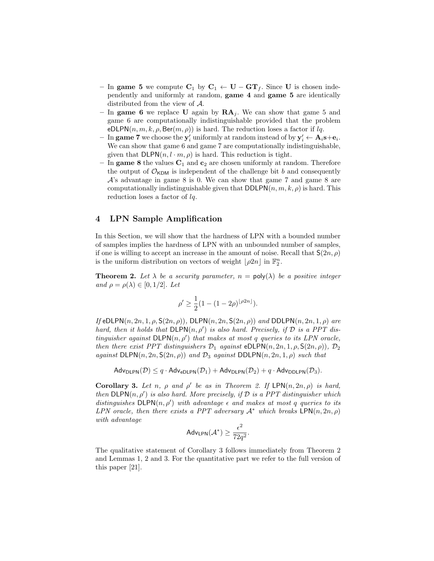- In game 5 we compute  $C_1$  by  $C_1 \leftarrow U GT_f$ . Since U is chosen independently and uniformly at random, game 4 and game 5 are identically distributed from the view of A.
- In game 6 we replace U again by  $\mathbf{RA}_i$ . We can show that game 5 and game 6 are computationally indistinguishable provided that the problem eDLPN $(n, m, k, \rho, \text{Ber}(m, \rho))$  is hard. The reduction loses a factor if  $lq$ .
- In game 7 we choose the  $y'_i$  uniformly at random instead of by  $y'_i \leftarrow A_i s + e_i$ . We can show that game 6 and game 7 are computationally indistinguishable, given that  $\text{DLPN}(n, l \cdot m, \rho)$  is hard. This reduction is tight.
- In game 8 the values  $C_1$  and  $c_2$  are chosen uniformly at random. Therefore the output of  $\mathcal{O}_{KDM}$  is independent of the challenge bit b and consequently  $A$ 's advantage in game 8 is 0. We can show that game 7 and game 8 are computationally indistinguishable given that  $DDLPN(n, m, k, \rho)$  is hard. This reduction loses a factor of lq.

# 4 LPN Sample Amplification

In this Section, we will show that the hardness of LPN with a bounded number of samples implies the hardness of LPN with an unbounded number of samples, if one is willing to accept an increase in the amount of noise. Recall that  $S(2n, \rho)$ is the uniform distribution on vectors of weight  $\lfloor \rho 2n \rfloor$  in  $\mathbb{F}_2^n$ .

**Theorem 2.** Let  $\lambda$  be a security parameter,  $n = \text{poly}(\lambda)$  be a positive integer and  $\rho = \rho(\lambda) \in [0, 1/2]$ . Let

$$
\rho' \ge \frac{1}{2} (1 - (1 - 2\rho)^{\lfloor \rho 2n \rfloor}).
$$

If eDLPN $(n, 2n, 1, \rho, S(2n, \rho))$ , DLPN $(n, 2n, S(2n, \rho))$  and DDLPN $(n, 2n, 1, \rho)$  are hard, then it holds that  $\text{DLPN}(n, \rho')$  is also hard. Precisely, if  $\mathcal D$  is a PPT distinguisher against  $\text{DLPN}(n, \rho')$  that makes at most q queries to its LPN oracle, then there exist PPT distinguishers  $\mathcal{D}_1$  against eDLPN(n, 2n, 1,  $\rho$ ,  $S(2n, \rho)$ ),  $\mathcal{D}_2$ against DLPN $(n, 2n, S(2n, \rho))$  and  $\mathcal{D}_3$  against DDLPN $(n, 2n, 1, \rho)$  such that

 $\mathsf{Adv}_{\mathsf{DLPN}}(\mathcal{D}) \leq q \cdot \mathsf{Adv}_{\mathsf{eDLPN}}(\mathcal{D}_1) + \mathsf{Adv}_{\mathsf{DLPN}}(\mathcal{D}_2) + q \cdot \mathsf{Adv}_{\mathsf{DDLPN}}(\mathcal{D}_3).$ 

Corollary 3. Let n,  $\rho$  and  $\rho'$  be as in Theorem 2. If  $\text{LPN}(n, 2n, \rho)$  is hard, then DLPN $(n, \rho')$  is also hard. More precisely, if  $D$  is a PPT distinguisher which distinguishes DLPN $(n, \rho')$  with advantage  $\epsilon$  and makes at most q queries to its LPN oracle, then there exists a PPT adversary  $A^*$  which breaks LPN $(n, 2n, \rho)$ with advantage

$$
\mathsf{Adv}_{\mathsf{LPN}}(\mathcal{A}^*) \geq \frac{\epsilon^2}{72q^2}.
$$

The qualitative statement of Corollary 3 follows immediately from Theorem 2 and Lemmas 1, 2 and 3. For the quantitative part we refer to the full version of this paper [21].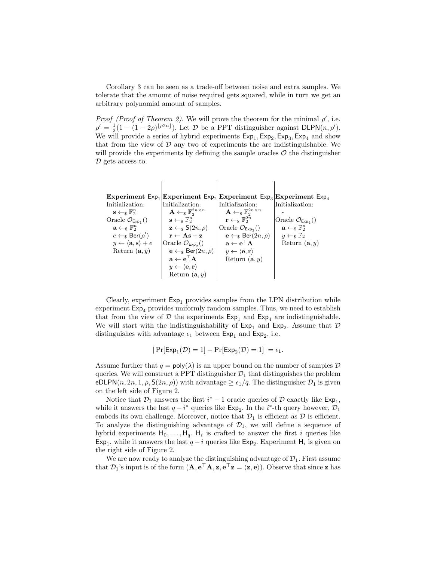Corollary 3 can be seen as a trade-off between noise and extra samples. We tolerate that the amount of noise required gets squared, while in turn we get an arbitrary polynomial amount of samples.

*Proof (Proof of Theorem 2)*. We will prove the theorem for the minimal  $\rho'$ , i.e.  $\rho' = \frac{1}{2}(1 - (1 - 2\rho)^{\lfloor \rho 2n \rfloor})$ . Let  $\mathcal{D}$  be a PPT distinguisher against DLPN(n,  $\rho'$ ). We will provide a series of hybrid experiments  $\textsf{Exp}_1, \textsf{Exp}_2, \textsf{Exp}_3, \textsf{Exp}_4$  and show that from the view of  $D$  any two of experiments the are indistinguishable. We will provide the experiments by defining the sample oracles  $\mathcal O$  the distinguisher  $D$  gets access to.

 $\overline{\phantom{a}}$ 

 $\begin{array}{c} \hline \end{array}$ 

 $\overline{1}$ 

|                                                           | Experiment $Exp_1 Exp$ eriment $Exp_2 Exp$ eriment $Exp_3 Exp$ eriment $Exp_4$ |                                                           |                                                |
|-----------------------------------------------------------|--------------------------------------------------------------------------------|-----------------------------------------------------------|------------------------------------------------|
| Initialization:                                           | Initialization:                                                                | Initialization:                                           | Initialization:                                |
| $\mathbf{s} \leftarrow_{\$} \mathbb{F}_{2}^{n}$           | $\mathbf{A} \leftarrow_{\$} \mathbb{F}_{2}^{2n \times n}$                      | $\mathbf{A} \leftarrow_{\$} \mathbb{F}_{2}^{2n \times n}$ |                                                |
| Oracle $\mathcal{O}_{\text{Exp}_1}$ ()                    | $\mathbf{s} \leftarrow_{\$} \mathbb{F}_{2}^{n}$                                | $\mathbf{r} \leftarrow_{\$} \mathbb{F}_2^{2n}$            | Oracle $\mathcal{O}_{\text{Exp}_4}$ ()         |
| $\mathbf{a} \leftarrow_{\$} \mathbb{F}_{2}^{n}$           | $\mathbf{z} \leftarrow_{\rm s} \mathsf{S}(2n,\rho)$                            | Oracle $\mathcal{O}_{\text{Exp}_3}$ ()                    | $\mathbf{a} \leftarrow_{\rm s} \mathbb{F}_2^n$ |
| $e \leftarrow_s \text{Ber}(\rho')$                        | $\mathbf{r} \leftarrow \mathbf{As} + \mathbf{z}$                               | $\mathbf{e} \leftarrow_{\$} \mathsf{Ber}(2n,\rho)$        | $y \leftarrow_s \mathbb{F}_2$                  |
| $y \leftarrow \langle \mathbf{a}, \mathbf{s} \rangle + e$ | Oracle $\mathcal{O}_{\text{Exp}_2}$ ()                                         | $\mathbf{a} \leftarrow \mathbf{e}^{\top} \mathbf{A}$      | Return $(a, y)$                                |
| Return $(a, y)$                                           | $\mathbf{e} \leftarrow_{\$} \mathsf{Ber}(2n, \rho)$                            | $y \leftarrow \langle e, r \rangle$                       |                                                |
|                                                           | $a \leftarrow e^{\dagger} A$                                                   | Return $(a, y)$                                           |                                                |
|                                                           | $y \leftarrow \langle e, r \rangle$                                            |                                                           |                                                |
|                                                           | Return $(\mathbf{a}, y)$                                                       |                                                           |                                                |

Clearly, experiment  $Exp_1$  provides samples from the LPN distribution while experiment  $Exp_4$  provides uniformly random samples. Thus, we need to establish that from the view of  $D$  the experiments  $Exp_1$  and  $Exp_4$  are indistinguishable. We will start with the indistinguishability of  $Exp_1$  and  $Exp_2$ . Assume that  $D$ distinguishes with advantage  $\epsilon_1$  between  $Exp_1$  and  $Exp_2$ , i.e.

$$
|\Pr[\mathsf{Exp}_1(\mathcal{D})=1]-\Pr[\mathsf{Exp}_2(\mathcal{D})=1]|=\epsilon_1.
$$

Assume further that  $q = \text{poly}(\lambda)$  is an upper bound on the number of samples D queries. We will construct a PPT distinguisher  $\mathcal{D}_1$  that distinguishes the problem eDLPN(n, 2n, 1,  $\rho$ , S(2n,  $\rho$ )) with advantage  $\geq \epsilon_1/q$ . The distinguisher  $\mathcal{D}_1$  is given on the left side of Figure 2.

Notice that  $\mathcal{D}_1$  answers the first  $i^* - 1$  oracle queries of  $\mathcal D$  exactly like  $\mathsf{Exp}_1$ , while it answers the last  $q - i^*$  queries like  $\text{Exp}_2$ . In the  $i^*$ -th query however,  $\mathcal{D}_1$ embeds its own challenge. Moreover, notice that  $\mathcal{D}_1$  is efficient as  $\mathcal D$  is efficient. To analyze the distinguishing advantage of  $\mathcal{D}_1$ , we will define a sequence of hybrid experiments  $H_0, \ldots, H_q$ .  $H_i$  is crafted to answer the first i queries like  $Exp_1$ , while it answers the last  $q - i$  queries like  $Exp_2$ . Experiment  $H_i$  is given on the right side of Figure 2.

We are now ready to analyze the distinguishing advantage of  $\mathcal{D}_1$ . First assume that  $\mathcal{D}_1$ 's input is of the form  $(\mathbf{A}, \mathbf{e}^\top \mathbf{A}, \mathbf{z}, \mathbf{e}^\top \mathbf{z} = \langle \mathbf{z}, \mathbf{e} \rangle)$ . Observe that since **z** has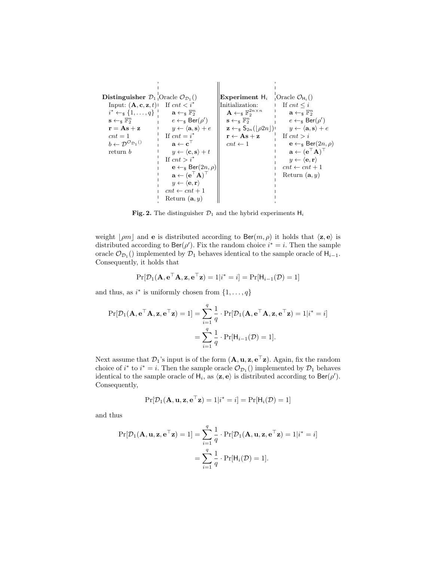| Distinguisher $\mathcal{D}_1$ Oracle $\mathcal{O}_{\mathcal{D}_1}$ () |                                                           | Experiment $H_i$                                          | Oracle $\mathcal{O}_{H_i}$ ()                                 |
|-----------------------------------------------------------------------|-----------------------------------------------------------|-----------------------------------------------------------|---------------------------------------------------------------|
| Input: $(\mathbf{A}, \mathbf{c}, \mathbf{z}, t)$ If $cnt < i^*$       |                                                           | Initialization:                                           | If $cnt < i$                                                  |
| $i^* \leftarrow_{\mathbb{S}} \{1, \ldots, q\}$                        | $\mathbf{a} \leftarrow_{\$} \mathbb{F}_2^n$               | $\mathbf{A} \leftarrow_{\$} \mathbb{F}_{2}^{2n \times n}$ | $\mathbf{a} \leftarrow_{\$} \mathbb{F}_2^n$                   |
| $\mathbf{s} \leftarrow_{\$} \mathbb{F}_2^n$                           | $e \leftarrow_s \text{Ber}(\rho')$                        | $\mathbf{s} \leftarrow_{\$} \mathbb{F}_2^n$               | $e \leftarrow_s \text{Ber}(\rho')$                            |
| $\mathbf{r} = \mathbf{A}\mathbf{s} + \mathbf{z}$                      | $y \leftarrow \langle \mathbf{a}, \mathbf{s} \rangle + e$ | $\mathbf{z} \leftarrow_{\$} \mathsf{S}_{2n}( \rho 2n )$   | $y \leftarrow \langle \mathbf{a}, \mathbf{s} \rangle + e$     |
| $cnt = 1$                                                             | If $cnt = i^*$                                            | $\mathbf{r} \leftarrow \mathbf{As} + \mathbf{z}$          | If $cnt > i$                                                  |
| $b \leftarrow \mathcal{D}^{\mathcal{O}_{\mathcal{D}_1}()}$            | $\mathbf{a} \leftarrow \mathbf{c}^{\top}$                 | $cnt \leftarrow 1$                                        | $\mathbf{e} \leftarrow_{\$} \mathsf{Ber}(2n, \rho)$           |
| return b                                                              | $y \leftarrow \langle \mathbf{c}, \mathbf{s} \rangle + t$ |                                                           | $\mathbf{a} \leftarrow (\mathbf{e}^{\top} \mathbf{A})^{\top}$ |
|                                                                       | If $cnt > i^*$                                            |                                                           | $y \leftarrow \langle e, r \rangle$                           |
|                                                                       | $\mathbf{e} \leftarrow s \text{Ber}(2n, \rho)$            |                                                           | $cnt \leftarrow cnt + 1$                                      |
|                                                                       | $\mathbf{a} \leftarrow (\mathbf{e}^\top \mathbf{A})^\top$ |                                                           | Return $(a, y)$                                               |
|                                                                       | $y \leftarrow \langle e, r \rangle$                       |                                                           |                                                               |
|                                                                       | $cnt \leftarrow cnt + 1$                                  |                                                           |                                                               |
|                                                                       | Return $(a, y)$                                           |                                                           |                                                               |

Fig. 2. The distinguisher  $\mathcal{D}_1$  and the hybrid experiments  $H_i$ 

weight  $|\rho m|$  and **e** is distributed according to Ber $(m, \rho)$  it holds that  $\langle z, e \rangle$  is distributed according to  $\text{Ber}(\rho')$ . Fix the random choice  $i^* = i$ . Then the sample oracle  $\mathcal{O}_{\mathcal{D}_1}$  () implemented by  $\mathcal{D}_1$  behaves identical to the sample oracle of  $\mathsf{H}_{i-1}$ . Consequently, it holds that

$$
\Pr[\mathcal{D}_1(\mathbf{A}, \mathbf{e}^\top \mathbf{A}, \mathbf{z}, \mathbf{e}^\top \mathbf{z}) = 1 | i^* = i] = \Pr[\mathsf{H}_{i-1}(\mathcal{D}) = 1]
$$

and thus, as  $i^*$  is uniformly chosen from  $\{1, \ldots, q\}$ 

$$
\Pr[\mathcal{D}_1(\mathbf{A}, \mathbf{e}^\top \mathbf{A}, \mathbf{z}, \mathbf{e}^\top \mathbf{z}) = 1] = \sum_{i=1}^q \frac{1}{q} \cdot \Pr[\mathcal{D}_1(\mathbf{A}, \mathbf{e}^\top \mathbf{A}, \mathbf{z}, \mathbf{e}^\top \mathbf{z}) = 1 | i^* = i]
$$

$$
= \sum_{i=1}^q \frac{1}{q} \cdot \Pr[\mathsf{H}_{i-1}(\mathcal{D}) = 1].
$$

Next assume that  $\mathcal{D}_1$ 's input is of the form  $(\mathbf{A}, \mathbf{u}, \mathbf{z}, \mathbf{e}^\top \mathbf{z})$ . Again, fix the random choice of  $i^*$  to  $i^* = i$ . Then the sample oracle  $\mathcal{O}_{\mathcal{D}_1}$  implemented by  $\mathcal{D}_1$  behaves identical to the sample oracle of  $H_i$ , as  $\langle z, e \rangle$  is distributed according to Ber( $\rho'$ ). Consequently,

$$
Pr[\mathcal{D}_1(\mathbf{A}, \mathbf{u}, \mathbf{z}, \mathbf{e}^\top \mathbf{z}) = 1 | i^* = i] = Pr[H_i(\mathcal{D}) = 1]
$$

and thus

$$
Pr[\mathcal{D}_1(\mathbf{A}, \mathbf{u}, \mathbf{z}, \mathbf{e}^\top \mathbf{z}) = 1] = \sum_{i=1}^q \frac{1}{q} \cdot Pr[\mathcal{D}_1(\mathbf{A}, \mathbf{u}, \mathbf{z}, \mathbf{e}^\top \mathbf{z}) = 1 | i^* = i]
$$

$$
= \sum_{i=1}^q \frac{1}{q} \cdot Pr[\mathsf{H}_i(\mathcal{D}) = 1].
$$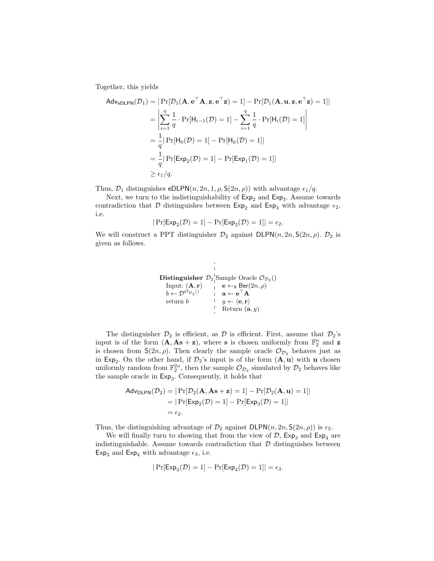Together, this yields

$$
\begin{aligned}\n\text{Adv}_{e\text{DLPN}}(\mathcal{D}_1) &= |\Pr[\mathcal{D}_1(\mathbf{A}, \mathbf{e}^\top \mathbf{A}, \mathbf{z}, \mathbf{e}^\top \mathbf{z}) = 1] - \Pr[\mathcal{D}_1(\mathbf{A}, \mathbf{u}, \mathbf{z}, \mathbf{e}^\top \mathbf{z}) = 1]| \\
&= \left| \sum_{i=1}^q \frac{1}{q} \cdot \Pr[\mathsf{H}_{i-1}(\mathcal{D}) = 1] - \sum_{i=1}^q \frac{1}{q} \cdot \Pr[\mathsf{H}_i(\mathcal{D}) = 1] \right| \\
&= \frac{1}{q} |\Pr[\mathsf{H}_0(\mathcal{D}) = 1] - \Pr[\mathsf{H}_k(\mathcal{D}) = 1]| \\
&= \frac{1}{q} |\Pr[\mathsf{Exp}_2(\mathcal{D}) = 1] - \Pr[\mathsf{Exp}_1(\mathcal{D}) = 1]| \\
&\geq \epsilon_1/q.\n\end{aligned}
$$

Thus,  $\mathcal{D}_1$  distinguishes eDLPN(n, 2n, 1,  $\rho$ ,  $S(2n, \rho)$ ) with advantage  $\epsilon_1/q$ .

Next, we turn to the indistinguishability of  $Exp_2$  and  $Exp_3$ . Assume towards contradiction that D distinguishes between  $Exp_2$  and  $Exp_3$  with advantage  $\epsilon_2$ , i.e.

$$
|\Pr[\mathsf{Exp}_2(\mathcal{D})=1]-\Pr[\mathsf{Exp}_3(\mathcal{D})=1]|=\epsilon_2.
$$

We will construct a PPT distinguisher  $\mathcal{D}_2$  against DLPN(n, 2n, S(2n,  $\rho$ ).  $\mathcal{D}_2$  is given as follows.

**Distinguisher** 
$$
\mathcal{D}_2
$$
 Sample Oracle  $\mathcal{O}_{\mathcal{D}_2}$ ()  
\nInput:  $(\mathbf{A}, \mathbf{r})$   $\mathbf{e} \leftarrow_s \text{Ber}(2n, \rho)$   
\n $b \leftarrow \mathcal{D}^{\mathcal{O}_{\mathcal{D}_2}}$   $\qquad \qquad \mathbf{a} \leftarrow \mathbf{e}^\top \mathbf{A}$   
\nreturn  $b$   $\qquad \qquad \vdots \qquad y \leftarrow \langle \mathbf{e}, \mathbf{r} \rangle$   
\nReturn  $(\mathbf{a}, y)$ 

The distinguisher  $\mathcal{D}_2$  is efficient, as  $\mathcal D$  is efficient. First, assume that  $\mathcal{D}_2$ 's input is of the form  $(A, As + z)$ , where s is chosen uniformly from  $\mathbb{F}_2^n$  and z is chosen from  $S(2n, \rho)$ . Then clearly the sample oracle  $\mathcal{O}_{\mathcal{D}_2}$  behaves just as in  $Exp_2$ . On the other hand, if  $\mathcal{D}_2$ 's input is of the form  $(\mathbf{A}, \mathbf{u})$  with **u** chosen uniformly random from  $\mathbb{F}_2^{2n}$ , then the sample  $\mathcal{O}_{\mathcal{D}_2}$  simulated by  $\mathcal{D}_2$  behaves like the sample oracle in  $Exp_3$ . Consequently, it holds that

$$
Adv_{\text{DLPN}}(\mathcal{D}_2) = |\Pr[\mathcal{D}_2(\mathbf{A}, \mathbf{A}\mathbf{s} + \mathbf{z}) = 1] - \Pr[\mathcal{D}_2(\mathbf{A}, \mathbf{u}) = 1]|
$$
  
= |\Pr[Exp\_2(\mathcal{D}) = 1] - \Pr[Exp\_3(\mathcal{D}) = 1]|  
= \epsilon\_2.

Thus, the distinguishing advantage of  $\mathcal{D}_2$  against DLPN(n, 2n, S(2n,  $\rho$ )) is  $\epsilon_2$ .

We will finally turn to showing that from the view of  $D$ ,  $Exp_3$  and  $Exp_4$  are indistinguishable. Assume towards contradiction that  $D$  distinguishes between Exp<sub>3</sub> and Exp<sub>4</sub> with advantage  $\epsilon_3$ , i.e.

$$
|\Pr[\mathsf{Exp}_3(\mathcal{D})=1]-\Pr[\mathsf{Exp}_4(\mathcal{D})=1]|=\epsilon_3.
$$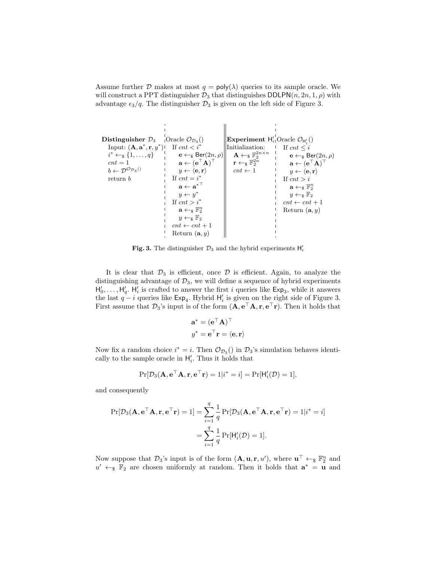Assume further D makes at most  $q = \text{poly}(\lambda)$  queries to its sample oracle. We will construct a PPT distinguisher  $\mathcal{D}_3$  that distinguishes DDLPN(n, 2n, 1,  $\rho$ ) with advantage  $\epsilon_3/q$ . The distinguisher  $\mathcal{D}_3$  is given on the left side of Figure 3.

| Distinguisher $\mathcal{D}_3$ Oracle $\mathcal{O}_{\mathcal{D}_3}$  |                                                               | <b>Experiment</b> $H'_{i}$ Oracle $\mathcal{O}_{H'}($     |                                                               |
|---------------------------------------------------------------------|---------------------------------------------------------------|-----------------------------------------------------------|---------------------------------------------------------------|
| Input: $(\mathbf{A}, \mathbf{a}^*, \mathbf{r}, y^*)$ If $cnt < i^*$ |                                                               | Initialization:                                           | If $cnt < i$                                                  |
| $i^* \leftarrow_{\S} \{1, \ldots, q\}$                              | ${\bf e} \leftarrow_{\rm s} {\sf Ber}(2n,\rho)$               | $\mathbf{A} \leftarrow_{\$} \mathbb{F}_{2}^{2n \times n}$ | ${\bf e} \leftarrow_{\rm s} {\sf Ber}(2n,\rho)$               |
| $cnt = 1$                                                           | $\mathbf{a} \leftarrow (\mathbf{e}^{\top} \mathbf{A})^{\top}$ | $\mathbf{r} \leftarrow_\$ \mathbb{F}_2^{2n}$              | $\mathbf{a} \leftarrow (\mathbf{e}^{\top} \mathbf{A})^{\top}$ |
| $b \leftarrow \mathcal{D}^{\mathcal{O}_{\mathcal{D}_3}()}$          | $y \leftarrow \langle \mathbf{e}, \mathbf{r} \rangle$         | $cnt \leftarrow 1$                                        | $y \leftarrow \langle \mathbf{e}, \mathbf{r} \rangle$         |
| return b                                                            | If $cnt = i^*$                                                |                                                           | If $cnt > i$                                                  |
|                                                                     | $\mathbf{a} \leftarrow \mathbf{a^*}^{\top}$                   |                                                           | $\mathbf{a} \leftarrow_{\$} \mathbb{F}_{2}^{n}$               |
|                                                                     | $y \leftarrow y^*$                                            |                                                           | $y \leftarrow_s \mathbb{F}_2$                                 |
|                                                                     | If $cnt > i^*$                                                |                                                           | $cnt \leftarrow cnt + 1$                                      |
|                                                                     | $\mathbf{a} \leftarrow_{\$} \mathbb{F}_{2}^{n}$               |                                                           | Return $(a, y)$                                               |
|                                                                     | $y \leftarrow_s \mathbb{F}_2$                                 |                                                           |                                                               |
|                                                                     | $cnt \leftarrow cnt + 1$                                      |                                                           |                                                               |
|                                                                     | Return $(a, y)$                                               |                                                           |                                                               |

Fig. 3. The distinguisher  $\mathcal{D}_3$  and the hybrid experiments  $H'_i$ 

It is clear that  $\mathcal{D}_3$  is efficient, once  $\mathcal D$  is efficient. Again, to analyze the distinguishing advantage of  $\mathcal{D}_3$ , we will define a sequence of hybrid experiments  $H'_0, \ldots, H'_q$ .  $H'_i$  is crafted to answer the first *i* queries like  $Exp_3$ , while it answers the last  $q - i$  queries like  $Exp_4$ . Hybrid  $H'_i$  is given on the right side of Figure 3. First assume that  $\mathcal{D}_3$ 's input is of the form  $(A, e^{\top}A, r, e^{\top}r)$ . Then it holds that

$$
\begin{aligned} \mathbf{a}^* &= (\mathbf{e}^\top \mathbf{A})^\top \\ y^* &= \mathbf{e}^\top \mathbf{r} = \langle \mathbf{e}, \mathbf{r} \rangle \end{aligned}
$$

Now fix a random choice  $i^* = i$ . Then  $\mathcal{O}_{\mathcal{D}_3}$  () in  $\mathcal{D}_3$ 's simulation behaves identically to the sample oracle in  $H_i'$ . Thus it holds that

$$
Pr[\mathcal{D}_3(\mathbf{A}, \mathbf{e}^\top \mathbf{A}, \mathbf{r}, \mathbf{e}^\top \mathbf{r}) = 1 | i^* = i] = Pr[\mathsf{H}'_i(\mathcal{D}) = 1],
$$

and consequently

$$
Pr[\mathcal{D}_3(\mathbf{A}, \mathbf{e}^\top \mathbf{A}, \mathbf{r}, \mathbf{e}^\top \mathbf{r}) = 1] = \sum_{i=1}^q \frac{1}{q} Pr[\mathcal{D}_3(\mathbf{A}, \mathbf{e}^\top \mathbf{A}, \mathbf{r}, \mathbf{e}^\top \mathbf{r}) = 1 | i^* = i]
$$

$$
= \sum_{i=1}^q \frac{1}{q} Pr[\mathbf{H}'_i(\mathcal{D}) = 1].
$$

Now suppose that  $\mathcal{D}_3$ 's input is of the form  $(\mathbf{A}, \mathbf{u}, \mathbf{r}, u')$ , where  $\mathbf{u}^\top \leftarrow_{\$} \mathbb{F}_2^n$  and  $u'$  ← **F**<sub>2</sub> are chosen uniformly at random. Then it holds that  $a^* = u$  and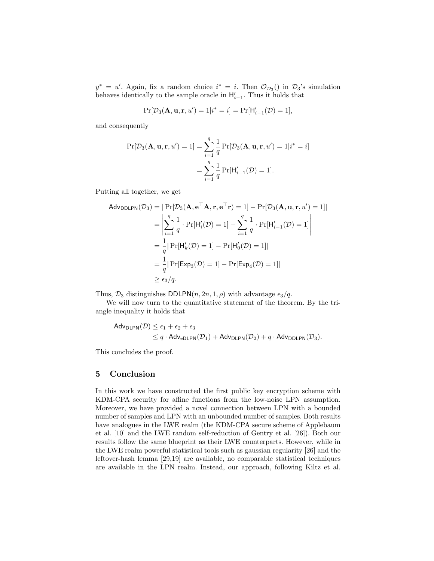$y^* = u'$ . Again, fix a random choice  $i^* = i$ . Then  $\mathcal{O}_{\mathcal{D}_3}$  () in  $\mathcal{D}_3$ 's simulation behaves identically to the sample oracle in  $H'_{i-1}$ . Thus it holds that

$$
Pr[\mathcal{D}_3(\mathbf{A}, \mathbf{u}, \mathbf{r}, u') = 1 | i^* = i] = Pr[\mathsf{H}'_{i-1}(\mathcal{D}) = 1],
$$

and consequently

$$
\Pr[\mathcal{D}_3(\mathbf{A}, \mathbf{u}, \mathbf{r}, u') = 1] = \sum_{i=1}^q \frac{1}{q} \Pr[\mathcal{D}_3(\mathbf{A}, \mathbf{u}, \mathbf{r}, u') = 1 | i^* = i]
$$

$$
= \sum_{i=1}^q \frac{1}{q} \Pr[\mathsf{H}'_{i-1}(\mathcal{D}) = 1].
$$

Putting all together, we get

$$
\begin{aligned}\n\text{Adv}_{\text{DDLPN}}(\mathcal{D}_3) &= |\Pr[\mathcal{D}_3(\mathbf{A}, \mathbf{e}^\top \mathbf{A}, \mathbf{r}, \mathbf{e}^\top \mathbf{r}) = 1] - \Pr[\mathcal{D}_3(\mathbf{A}, \mathbf{u}, \mathbf{r}, u') = 1] \\
&= \left| \sum_{i=1}^q \frac{1}{q} \cdot \Pr[\mathsf{H}_i'(\mathcal{D}) = 1] - \sum_{i=1}^q \frac{1}{q} \cdot \Pr[\mathsf{H}_{i-1}'(\mathcal{D}) = 1] \right| \\
&= \frac{1}{q} |\Pr[\mathsf{H}_k'(\mathcal{D}) = 1] - \Pr[\mathsf{H}_0'(\mathcal{D}) = 1] | \\
&= \frac{1}{q} |\Pr[\text{Exp}_3(\mathcal{D}) = 1] - \Pr[\text{Exp}_4(\mathcal{D}) = 1] | \\
&\ge \epsilon_3/q.\n\end{aligned}
$$

Thus,  $\mathcal{D}_3$  distinguishes DDLPN(n, 2n, 1,  $\rho$ ) with advantage  $\epsilon_3/q$ .

We will now turn to the quantitative statement of the theorem. By the triangle inequality it holds that

$$
Adv_{\text{DLPN}}(\mathcal{D}) \le \epsilon_1 + \epsilon_2 + \epsilon_3
$$
  
\n
$$
\le q \cdot Adv_{\text{eDLPN}}(\mathcal{D}_1) + Adv_{\text{DLPN}}(\mathcal{D}_2) + q \cdot Adv_{\text{DDPN}}(\mathcal{D}_3).
$$

This concludes the proof.

# 5 Conclusion

In this work we have constructed the first public key encryption scheme with KDM-CPA security for affine functions from the low-noise LPN assumption. Moreover, we have provided a novel connection between LPN with a bounded number of samples and LPN with an unbounded number of samples. Both results have analogues in the LWE realm (the KDM-CPA secure scheme of Applebaum et al. [10] and the LWE random self-reduction of Gentry et al. [26]). Both our results follow the same blueprint as their LWE counterparts. However, while in the LWE realm powerful statistical tools such as gaussian regularity [26] and the leftover-hash lemma [29,19] are available, no comparable statistical techniques are available in the LPN realm. Instead, our approach, following Kiltz et al.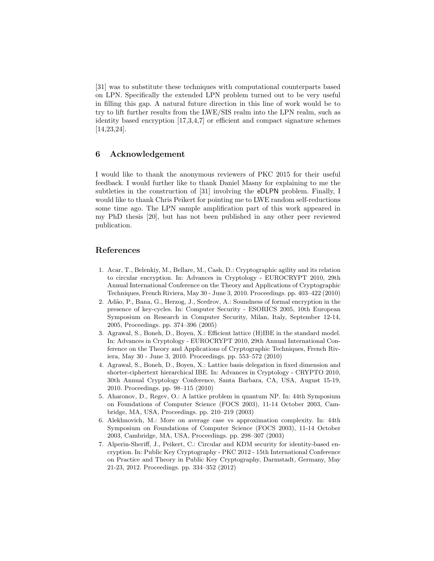[31] was to substitute these techniques with computational counterparts based on LPN. Specifically the extended LPN problem turned out to be very useful in filling this gap. A natural future direction in this line of work would be to try to lift further results from the LWE/SIS realm into the LPN realm, such as identity based encryption [17,3,4,7] or efficient and compact signature schemes [14,23,24].

# 6 Acknowledgement

I would like to thank the anonymous reviewers of PKC 2015 for their useful feedback. I would further like to thank Daniel Masny for explaining to me the subtleties in the construction of [31] involving the eDLPN problem. Finally, I would like to thank Chris Peikert for pointing me to LWE random self-reductions some time ago. The LPN sample amplification part of this work appeared in my PhD thesis [20], but has not been published in any other peer reviewed publication.

# References

- 1. Acar, T., Belenkiy, M., Bellare, M., Cash, D.: Cryptographic agility and its relation to circular encryption. In: Advances in Cryptology - EUROCRYPT 2010, 29th Annual International Conference on the Theory and Applications of Cryptographic Techniques, French Riviera, May 30 - June 3, 2010. Proceedings. pp. 403–422 (2010)
- 2. Adão, P., Bana, G., Herzog, J., Scedrov, A.: Soundness of formal encryption in the presence of key-cycles. In: Computer Security - ESORICS 2005, 10th European Symposium on Research in Computer Security, Milan, Italy, September 12-14, 2005, Proceedings. pp. 374–396 (2005)
- 3. Agrawal, S., Boneh, D., Boyen, X.: Efficient lattice (H)IBE in the standard model. In: Advances in Cryptology - EUROCRYPT 2010, 29th Annual International Conference on the Theory and Applications of Cryptographic Techniques, French Riviera, May 30 - June 3, 2010. Proceedings. pp. 553–572 (2010)
- 4. Agrawal, S., Boneh, D., Boyen, X.: Lattice basis delegation in fixed dimension and shorter-ciphertext hierarchical IBE. In: Advances in Cryptology - CRYPTO 2010, 30th Annual Cryptology Conference, Santa Barbara, CA, USA, August 15-19, 2010. Proceedings. pp. 98–115 (2010)
- 5. Aharonov, D., Regev, O.: A lattice problem in quantum NP. In: 44th Symposium on Foundations of Computer Science (FOCS 2003), 11-14 October 2003, Cambridge, MA, USA, Proceedings. pp. 210–219 (2003)
- 6. Alekhnovich, M.: More on average case vs approximation complexity. In: 44th Symposium on Foundations of Computer Science (FOCS 2003), 11-14 October 2003, Cambridge, MA, USA, Proceedings. pp. 298–307 (2003)
- 7. Alperin-Sheriff, J., Peikert, C.: Circular and KDM security for identity-based encryption. In: Public Key Cryptography - PKC 2012 - 15th International Conference on Practice and Theory in Public Key Cryptography, Darmstadt, Germany, May 21-23, 2012. Proceedings. pp. 334–352 (2012)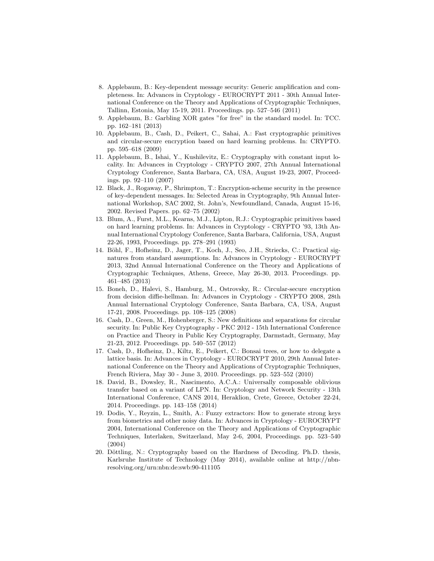- 8. Applebaum, B.: Key-dependent message security: Generic amplification and completeness. In: Advances in Cryptology - EUROCRYPT 2011 - 30th Annual International Conference on the Theory and Applications of Cryptographic Techniques, Tallinn, Estonia, May 15-19, 2011. Proceedings. pp. 527–546 (2011)
- 9. Applebaum, B.: Garbling XOR gates "for free" in the standard model. In: TCC. pp. 162–181 (2013)
- 10. Applebaum, B., Cash, D., Peikert, C., Sahai, A.: Fast cryptographic primitives and circular-secure encryption based on hard learning problems. In: CRYPTO. pp. 595–618 (2009)
- 11. Applebaum, B., Ishai, Y., Kushilevitz, E.: Cryptography with constant input locality. In: Advances in Cryptology - CRYPTO 2007, 27th Annual International Cryptology Conference, Santa Barbara, CA, USA, August 19-23, 2007, Proceedings. pp. 92–110 (2007)
- 12. Black, J., Rogaway, P., Shrimpton, T.: Encryption-scheme security in the presence of key-dependent messages. In: Selected Areas in Cryptography, 9th Annual International Workshop, SAC 2002, St. John's, Newfoundland, Canada, August 15-16, 2002. Revised Papers. pp. 62–75 (2002)
- 13. Blum, A., Furst, M.L., Kearns, M.J., Lipton, R.J.: Cryptographic primitives based on hard learning problems. In: Advances in Cryptology - CRYPTO '93, 13th Annual International Cryptology Conference, Santa Barbara, California, USA, August 22-26, 1993, Proceedings. pp. 278–291 (1993)
- 14. Böhl, F., Hofheinz, D., Jager, T., Koch, J., Seo, J.H., Striecks, C.: Practical signatures from standard assumptions. In: Advances in Cryptology - EUROCRYPT 2013, 32nd Annual International Conference on the Theory and Applications of Cryptographic Techniques, Athens, Greece, May 26-30, 2013. Proceedings. pp. 461–485 (2013)
- 15. Boneh, D., Halevi, S., Hamburg, M., Ostrovsky, R.: Circular-secure encryption from decision diffie-hellman. In: Advances in Cryptology - CRYPTO 2008, 28th Annual International Cryptology Conference, Santa Barbara, CA, USA, August 17-21, 2008. Proceedings. pp. 108–125 (2008)
- 16. Cash, D., Green, M., Hohenberger, S.: New definitions and separations for circular security. In: Public Key Cryptography - PKC 2012 - 15th International Conference on Practice and Theory in Public Key Cryptography, Darmstadt, Germany, May 21-23, 2012. Proceedings. pp. 540–557 (2012)
- 17. Cash, D., Hofheinz, D., Kiltz, E., Peikert, C.: Bonsai trees, or how to delegate a lattice basis. In: Advances in Cryptology - EUROCRYPT 2010, 29th Annual International Conference on the Theory and Applications of Cryptographic Techniques, French Riviera, May 30 - June 3, 2010. Proceedings. pp. 523–552 (2010)
- 18. David, B., Dowsley, R., Nascimento, A.C.A.: Universally composable oblivious transfer based on a variant of LPN. In: Cryptology and Network Security - 13th International Conference, CANS 2014, Heraklion, Crete, Greece, October 22-24, 2014. Proceedings. pp. 143–158 (2014)
- 19. Dodis, Y., Reyzin, L., Smith, A.: Fuzzy extractors: How to generate strong keys from biometrics and other noisy data. In: Advances in Cryptology - EUROCRYPT 2004, International Conference on the Theory and Applications of Cryptographic Techniques, Interlaken, Switzerland, May 2-6, 2004, Proceedings. pp. 523–540 (2004)
- 20. Döttling, N.: Cryptography based on the Hardness of Decoding. Ph.D. thesis, Karlsruhe Institute of Technology (May 2014), available online at http://nbnresolving.org/urn:nbn:de:swb:90-411105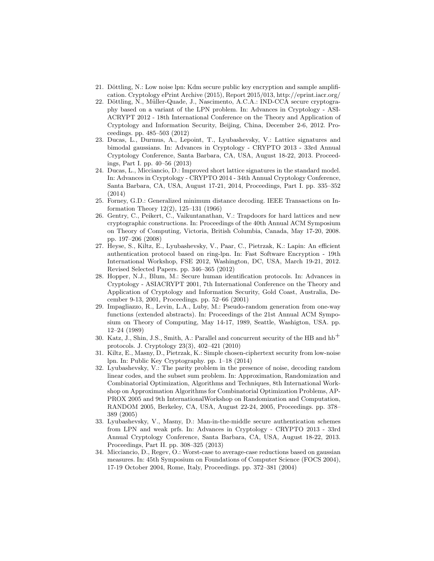- 21. Döttling, N.: Low noise lpn: Kdm secure public key encryption and sample amplification. Cryptology ePrint Archive (2015), Report 2015/013, http://eprint.iacr.org/
- 22. Döttling, N., Müller-Quade, J., Nascimento, A.C.A.: IND-CCA secure cryptography based on a variant of the LPN problem. In: Advances in Cryptology - ASI-ACRYPT 2012 - 18th International Conference on the Theory and Application of Cryptology and Information Security, Beijing, China, December 2-6, 2012. Proceedings. pp. 485–503 (2012)
- 23. Ducas, L., Durmus, A., Lepoint, T., Lyubashevsky, V.: Lattice signatures and bimodal gaussians. In: Advances in Cryptology - CRYPTO 2013 - 33rd Annual Cryptology Conference, Santa Barbara, CA, USA, August 18-22, 2013. Proceedings, Part I. pp. 40–56 (2013)
- 24. Ducas, L., Micciancio, D.: Improved short lattice signatures in the standard model. In: Advances in Cryptology - CRYPTO 2014 - 34th Annual Cryptology Conference, Santa Barbara, CA, USA, August 17-21, 2014, Proceedings, Part I. pp. 335–352 (2014)
- 25. Forney, G.D.: Generalized minimum distance decoding. IEEE Transactions on Information Theory 12(2), 125–131 (1966)
- 26. Gentry, C., Peikert, C., Vaikuntanathan, V.: Trapdoors for hard lattices and new cryptographic constructions. In: Proceedings of the 40th Annual ACM Symposium on Theory of Computing, Victoria, British Columbia, Canada, May 17-20, 2008. pp. 197–206 (2008)
- 27. Heyse, S., Kiltz, E., Lyubashevsky, V., Paar, C., Pietrzak, K.: Lapin: An efficient authentication protocol based on ring-lpn. In: Fast Software Encryption - 19th International Workshop, FSE 2012, Washington, DC, USA, March 19-21, 2012. Revised Selected Papers. pp. 346–365 (2012)
- 28. Hopper, N.J., Blum, M.: Secure human identification protocols. In: Advances in Cryptology - ASIACRYPT 2001, 7th International Conference on the Theory and Application of Cryptology and Information Security, Gold Coast, Australia, December 9-13, 2001, Proceedings. pp. 52–66 (2001)
- 29. Impagliazzo, R., Levin, L.A., Luby, M.: Pseudo-random generation from one-way functions (extended abstracts). In: Proceedings of the 21st Annual ACM Symposium on Theory of Computing, May 14-17, 1989, Seattle, Washigton, USA. pp. 12–24 (1989)
- 30. Katz, J., Shin, J.S., Smith, A.: Parallel and concurrent security of the HB and  $hb$ <sup>+</sup> protocols. J. Cryptology 23(3), 402–421 (2010)
- 31. Kiltz, E., Masny, D., Pietrzak, K.: Simple chosen-ciphertext security from low-noise lpn. In: Public Key Cryptography. pp. 1–18 (2014)
- 32. Lyubashevsky, V.: The parity problem in the presence of noise, decoding random linear codes, and the subset sum problem. In: Approximation, Randomization and Combinatorial Optimization, Algorithms and Techniques, 8th International Workshop on Approximation Algorithms for Combinatorial Optimization Problems, AP-PROX 2005 and 9th InternationalWorkshop on Randomization and Computation, RANDOM 2005, Berkeley, CA, USA, August 22-24, 2005, Proceedings. pp. 378– 389 (2005)
- 33. Lyubashevsky, V., Masny, D.: Man-in-the-middle secure authentication schemes from LPN and weak prfs. In: Advances in Cryptology - CRYPTO 2013 - 33rd Annual Cryptology Conference, Santa Barbara, CA, USA, August 18-22, 2013. Proceedings, Part II. pp. 308–325 (2013)
- 34. Micciancio, D., Regev, O.: Worst-case to average-case reductions based on gaussian measures. In: 45th Symposium on Foundations of Computer Science (FOCS 2004), 17-19 October 2004, Rome, Italy, Proceedings. pp. 372–381 (2004)